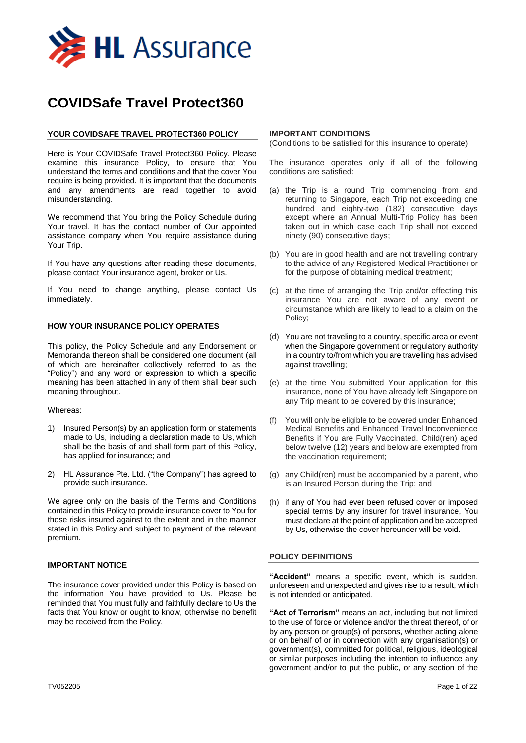

# **COVIDSafe Travel Protect360**

# **YOUR COVIDSAFE TRAVEL PROTECT360 POLICY**

Here is Your COVIDSafe Travel Protect360 Policy. Please examine this insurance Policy, to ensure that You understand the terms and conditions and that the cover You require is being provided. It is important that the documents and any amendments are read together to avoid misunderstanding.

We recommend that You bring the Policy Schedule during Your travel. It has the contact number of Our appointed assistance company when You require assistance during Your Trip.

If You have any questions after reading these documents, please contact Your insurance agent, broker or Us.

If You need to change anything, please contact Us immediately.

# **HOW YOUR INSURANCE POLICY OPERATES**

This policy, the Policy Schedule and any Endorsement or Memoranda thereon shall be considered one document (all of which are hereinafter collectively referred to as the "Policy") and any word or expression to which a specific meaning has been attached in any of them shall bear such meaning throughout.

## Whereas:

- 1) Insured Person(s) by an application form or statements made to Us, including a declaration made to Us, which shall be the basis of and shall form part of this Policy, has applied for insurance; and
- 2) HL Assurance Pte. Ltd. ("the Company") has agreed to provide such insurance.

We agree only on the basis of the Terms and Conditions contained in this Policy to provide insurance cover to You for those risks insured against to the extent and in the manner stated in this Policy and subject to payment of the relevant premium.

## **IMPORTANT NOTICE**

The insurance cover provided under this Policy is based on the information You have provided to Us. Please be reminded that You must fully and faithfully declare to Us the facts that You know or ought to know, otherwise no benefit may be received from the Policy.

## **IMPORTANT CONDITIONS**

(Conditions to be satisfied for this insurance to operate)

The insurance operates only if all of the following conditions are satisfied:

- (a) the Trip is a round Trip commencing from and returning to Singapore, each Trip not exceeding one hundred and eighty-two (182) consecutive days except where an Annual Multi-Trip Policy has been taken out in which case each Trip shall not exceed ninety (90) consecutive days;
- (b) You are in good health and are not travelling contrary to the advice of any Registered Medical Practitioner or for the purpose of obtaining medical treatment;
- (c) at the time of arranging the Trip and/or effecting this insurance You are not aware of any event or circumstance which are likely to lead to a claim on the Policy;
- (d) You are not traveling to a country, specific area or event when the Singapore government or regulatory authority in a country to/from which you are travelling has advised against travelling;
- (e) at the time You submitted Your application for this insurance, none of You have already left Singapore on any Trip meant to be covered by this insurance;
- (f) You will only be eligible to be covered under Enhanced Medical Benefits and Enhanced Travel Inconvenience Benefits if You are Fully Vaccinated. Child(ren) aged below twelve (12) years and below are exempted from the vaccination requirement;
- (g) any Child(ren) must be accompanied by a parent, who is an Insured Person during the Trip; and
- (h) if any of You had ever been refused cover or imposed special terms by any insurer for travel insurance, You must declare at the point of application and be accepted by Us, otherwise the cover hereunder will be void.

# **POLICY DEFINITIONS**

**"Accident"** means a specific event, which is sudden, unforeseen and unexpected and gives rise to a result, which is not intended or anticipated.

**"Act of Terrorism"** means an act, including but not limited to the use of force or violence and/or the threat thereof, of or by any person or group(s) of persons, whether acting alone or on behalf of or in connection with any organisation(s) or government(s), committed for political, religious, ideological or similar purposes including the intention to influence any government and/or to put the public, or any section of the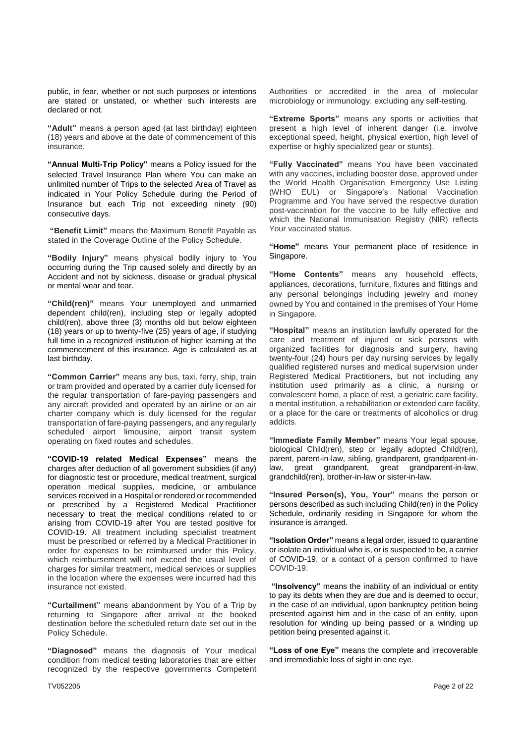public, in fear, whether or not such purposes or intentions are stated or unstated, or whether such interests are declared or not.

**"Adult"** means a person aged (at last birthday) eighteen (18) years and above at the date of commencement of this insurance.

**"Annual Multi-Trip Policy"** means a Policy issued for the selected Travel Insurance Plan where You can make an unlimited number of Trips to the selected Area of Travel as indicated in Your Policy Schedule during the Period of Insurance but each Trip not exceeding ninety (90) consecutive days.

**"Benefit Limit"** means the Maximum Benefit Payable as stated in the Coverage Outline of the Policy Schedule.

**"Bodily Injury"** means physical bodily injury to You occurring during the Trip caused solely and directly by an Accident and not by sickness, disease or gradual physical or mental wear and tear.

**"Child(ren)"** means Your unemployed and unmarried dependent child(ren), including step or legally adopted child(ren), above three (3) months old but below eighteen (18) years or up to twenty-five (25) years of age, if studying full time in a recognized institution of higher learning at the commencement of this insurance. Age is calculated as at last birthday.

**"Common Carrier"** means any bus, taxi, ferry, ship, train or tram provided and operated by a carrier duly licensed for the regular transportation of fare-paying passengers and any aircraft provided and operated by an airline or an air charter company which is duly licensed for the regular transportation of fare-paying passengers, and any regularly scheduled airport limousine, airport transit system operating on fixed routes and schedules.

**"COVID-19 related Medical Expenses"** means the charges after deduction of all government subsidies (if any) for diagnostic test or procedure, medical treatment, surgical operation medical supplies, medicine, or ambulance services received in a Hospital or rendered or recommended or prescribed by a Registered Medical Practitioner necessary to treat the medical conditions related to or arising from COVID-19 after You are tested positive for COVID-19. All treatment including specialist treatment must be prescribed or referred by a Medical Practitioner in order for expenses to be reimbursed under this Policy, which reimbursement will not exceed the usual level of charges for similar treatment, medical services or supplies in the location where the expenses were incurred had this insurance not existed.

**"Curtailment"** means abandonment by You of a Trip by returning to Singapore after arrival at the booked destination before the scheduled return date set out in the Policy Schedule.

**"Diagnosed"** means the diagnosis of Your medical condition from medical testing laboratories that are either recognized by the respective governments Competent

Authorities or accredited in the area of molecular microbiology or immunology, excluding any self-testing.

**"Extreme Sports"** means any sports or activities that present a high level of inherent danger (i.e. involve exceptional speed, height, physical exertion, high level of expertise or highly specialized gear or stunts).

**"Fully Vaccinated"** means You have been vaccinated with any vaccines, including booster dose, approved under the World Health Organisation Emergency Use Listing (WHO EUL) or Singapore's National Vaccination Programme and You have served the respective duration post-vaccination for the vaccine to be fully effective and which the National Immunisation Registry (NIR) reflects Your vaccinated status.

**"Home"** means Your permanent place of residence in Singapore.

**"Home Contents"** means any household effects, appliances, decorations, furniture, fixtures and fittings and any personal belongings including jewelry and money owned by You and contained in the premises of Your Home in Singapore.

**"Hospital"** means an institution lawfully operated for the care and treatment of injured or sick persons with organized facilities for diagnosis and surgery, having twenty-four (24) hours per day nursing services by legally qualified registered nurses and medical supervision under Registered Medical Practitioners, but not including any institution used primarily as a clinic, a nursing or convalescent home, a place of rest, a geriatric care facility, a mental institution, a rehabilitation or extended care facility, or a place for the care or treatments of alcoholics or drug addicts.

**"Immediate Family Member"** means Your legal spouse, biological Child(ren), step or legally adopted Child(ren), parent, parent-in-law, sibling, grandparent, grandparent-inlaw, great grandparent, great grandparent-in-law, grandchild(ren), brother-in-law or sister-in-law.

**"Insured Person(s), You, Your"** means the person or persons described as such including Child(ren) in the Policy Schedule, ordinarily residing in Singapore for whom the insurance is arranged.

**"Isolation Order"** means a legal order, issued to quarantine or isolate an individual who is, or is suspected to be, a carrier of COVID-19, or a contact of a person confirmed to have COVID-19.

**"Insolvency"** means the inability of an individual or entity to pay its debts when they are due and is deemed to occur, in the case of an individual, upon bankruptcy petition being presented against him and in the case of an entity, upon resolution for winding up being passed or a winding up petition being presented against it.

**"Loss of one Eye"** means the complete and irrecoverable and irremediable loss of sight in one eye.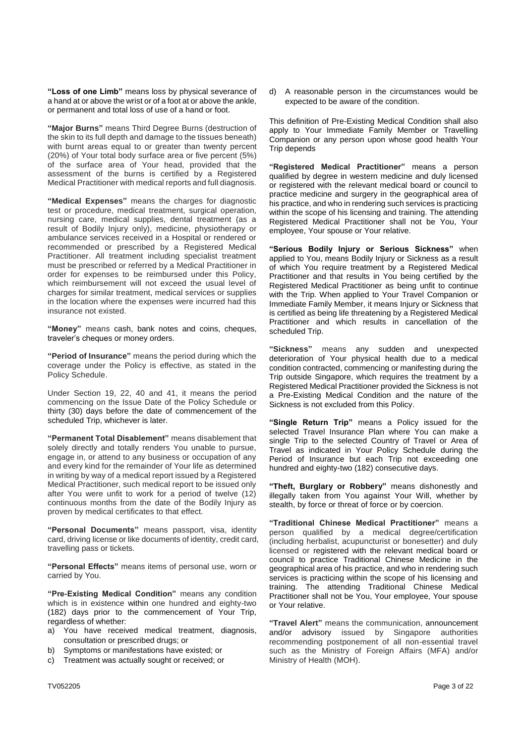**"Loss of one Limb"** means loss by physical severance of a hand at or above the wrist or of a foot at or above the ankle, or permanent and total loss of use of a hand or foot.

**"Major Burns"** means Third Degree Burns (destruction of the skin to its full depth and damage to the tissues beneath) with burnt areas equal to or greater than twenty percent (20%) of Your total body surface area or five percent (5%) of the surface area of Your head, provided that the assessment of the burns is certified by a Registered Medical Practitioner with medical reports and full diagnosis.

**"Medical Expenses"** means the charges for diagnostic test or procedure, medical treatment, surgical operation, nursing care, medical supplies, dental treatment (as a result of Bodily Injury only), medicine, physiotherapy or ambulance services received in a Hospital or rendered or recommended or prescribed by a Registered Medical Practitioner. All treatment including specialist treatment must be prescribed or referred by a Medical Practitioner in order for expenses to be reimbursed under this Policy, which reimbursement will not exceed the usual level of charges for similar treatment, medical services or supplies in the location where the expenses were incurred had this insurance not existed.

**"Money"** means cash, bank notes and coins, cheques, traveler's cheques or money orders.

**"Period of Insurance"** means the period during which the coverage under the Policy is effective, as stated in the Policy Schedule.

Under Section 19, 22, 40 and 41, it means the period commencing on the Issue Date of the Policy Schedule or thirty (30) days before the date of commencement of the scheduled Trip, whichever is later.

**"Permanent Total Disablement"** means disablement that solely directly and totally renders You unable to pursue, engage in, or attend to any business or occupation of any and every kind for the remainder of Your life as determined in writing by way of a medical report issued by a Registered Medical Practitioner, such medical report to be issued only after You were unfit to work for a period of twelve (12) continuous months from the date of the Bodily Injury as proven by medical certificates to that effect.

**"Personal Documents"** means passport, visa, identity card, driving license or like documents of identity, credit card, travelling pass or tickets.

**"Personal Effects"** means items of personal use, worn or carried by You.

**"Pre-Existing Medical Condition"** means any condition which is in existence within one hundred and eighty-two (182) days prior to the commencement of Your Trip, regardless of whether:

- a) You have received medical treatment, diagnosis, consultation or prescribed drugs; or
- b) Symptoms or manifestations have existed; or
- c) Treatment was actually sought or received; or

d) A reasonable person in the circumstances would be expected to be aware of the condition.

This definition of Pre-Existing Medical Condition shall also apply to Your Immediate Family Member or Travelling Companion or any person upon whose good health Your Trip depends

**"Registered Medical Practitioner"** means a person qualified by degree in western medicine and duly licensed or registered with the relevant medical board or council to practice medicine and surgery in the geographical area of his practice, and who in rendering such services is practicing within the scope of his licensing and training. The attending Registered Medical Practitioner shall not be You, Your employee, Your spouse or Your relative.

**"Serious Bodily Injury or Serious Sickness"** when applied to You, means Bodily Injury or Sickness as a result of which You require treatment by a Registered Medical Practitioner and that results in You being certified by the Registered Medical Practitioner as being unfit to continue with the Trip. When applied to Your Travel Companion or Immediate Family Member, it means Injury or Sickness that is certified as being life threatening by a Registered Medical Practitioner and which results in cancellation of the scheduled Trip.

**"Sickness"** means any sudden and unexpected deterioration of Your physical health due to a medical condition contracted, commencing or manifesting during the Trip outside Singapore, which requires the treatment by a Registered Medical Practitioner provided the Sickness is not a Pre-Existing Medical Condition and the nature of the Sickness is not excluded from this Policy.

**"Single Return Trip"** means a Policy issued for the selected Travel Insurance Plan where You can make a single Trip to the selected Country of Travel or Area of Travel as indicated in Your Policy Schedule during the Period of Insurance but each Trip not exceeding one hundred and eighty-two (182) consecutive days.

**"Theft, Burglary or Robbery"** means dishonestly and illegally taken from You against Your Will, whether by stealth, by force or threat of force or by coercion.

**"Traditional Chinese Medical Practitioner"** means a person qualified by a medical degree/certification (including herbalist, acupuncturist or bonesetter) and duly licensed or registered with the relevant medical board or council to practice Traditional Chinese Medicine in the geographical area of his practice, and who in rendering such services is practicing within the scope of his licensing and training. The attending Traditional Chinese Medical Practitioner shall not be You, Your employee, Your spouse or Your relative.

**"Travel Alert"** means the communication, announcement and/or advisory issued by Singapore authorities recommending postponement of all non-essential travel such as the Ministry of Foreign Affairs (MFA) and/or Ministry of Health (MOH).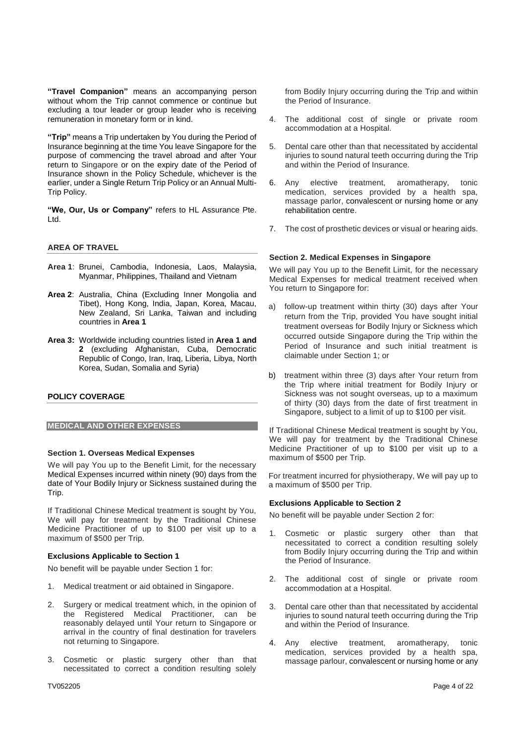**"Travel Companion"** means an accompanying person without whom the Trip cannot commence or continue but excluding a tour leader or group leader who is receiving remuneration in monetary form or in kind.

**"Trip"** means a Trip undertaken by You during the Period of Insurance beginning at the time You leave Singapore for the purpose of commencing the travel abroad and after Your return to Singapore or on the expiry date of the Period of Insurance shown in the Policy Schedule, whichever is the earlier, under a Single Return Trip Policy or an Annual Multi-Trip Policy.

**"We, Our, Us or Company"** refers to HL Assurance Pte. Ltd.

#### **AREA OF TRAVEL**

- **Area 1**: Brunei, Cambodia, Indonesia, Laos, Malaysia, Myanmar, Philippines, Thailand and Vietnam
- **Area 2**: Australia, China (Excluding Inner Mongolia and Tibet), Hong Kong, India, Japan, Korea, Macau, New Zealand, Sri Lanka, Taiwan and including countries in **Area 1**
- **Area 3:** Worldwide including countries listed in **Area 1 and 2** (excluding Afghanistan, Cuba, Democratic Republic of Congo, Iran, Iraq, Liberia, Libya, North Korea, Sudan, Somalia and Syria)

## **POLICY COVERAGE**

#### **MEDICAL AND OTHER EXPENSES**

## **Section 1. Overseas Medical Expenses**

We will pay You up to the Benefit Limit, for the necessary Medical Expenses incurred within ninety (90) days from the date of Your Bodily Injury or Sickness sustained during the Trip.

If Traditional Chinese Medical treatment is sought by You, We will pay for treatment by the Traditional Chinese Medicine Practitioner of up to \$100 per visit up to a maximum of \$500 per Trip.

## **Exclusions Applicable to Section 1**

No benefit will be payable under Section 1 for:

- 1. Medical treatment or aid obtained in Singapore.
- 2. Surgery or medical treatment which, in the opinion of the Registered Medical Practitioner, can be reasonably delayed until Your return to Singapore or arrival in the country of final destination for travelers not returning to Singapore.
- 3. Cosmetic or plastic surgery other than that necessitated to correct a condition resulting solely

from Bodily Injury occurring during the Trip and within the Period of Insurance.

- 4. The additional cost of single or private room accommodation at a Hospital.
- 5. Dental care other than that necessitated by accidental injuries to sound natural teeth occurring during the Trip and within the Period of Insurance.
- 6. Any elective treatment, aromatherapy, tonic medication, services provided by a health spa, massage parlor, convalescent or nursing home or any rehabilitation centre.
- 7. The cost of prosthetic devices or visual or hearing aids.

#### **Section 2. Medical Expenses in Singapore**

We will pay You up to the Benefit Limit, for the necessary Medical Expenses for medical treatment received when You return to Singapore for:

- a) follow-up treatment within thirty (30) days after Your return from the Trip, provided You have sought initial treatment overseas for Bodily Injury or Sickness which occurred outside Singapore during the Trip within the Period of Insurance and such initial treatment is claimable under Section 1; or
- b) treatment within three (3) days after Your return from the Trip where initial treatment for Bodily Injury or Sickness was not sought overseas, up to a maximum of thirty (30) days from the date of first treatment in Singapore, subject to a limit of up to \$100 per visit.

If Traditional Chinese Medical treatment is sought by You, We will pay for treatment by the Traditional Chinese Medicine Practitioner of up to \$100 per visit up to a maximum of \$500 per Trip.

For treatment incurred for physiotherapy, We will pay up to a maximum of \$500 per Trip.

#### **Exclusions Applicable to Section 2**

No benefit will be payable under Section 2 for:

- 1. Cosmetic or plastic surgery other than that necessitated to correct a condition resulting solely from Bodily Injury occurring during the Trip and within the Period of Insurance.
- 2. The additional cost of single or private room accommodation at a Hospital.
- 3. Dental care other than that necessitated by accidental injuries to sound natural teeth occurring during the Trip and within the Period of Insurance.
- 4. Any elective treatment, aromatherapy, tonic medication, services provided by a health spa, massage parlour, convalescent or nursing home or any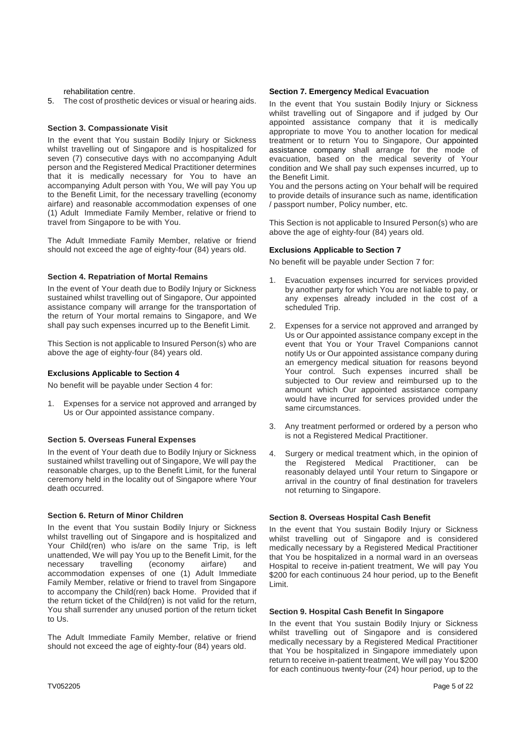#### rehabilitation centre.

5. The cost of prosthetic devices or visual or hearing aids.

## **Section 3. Compassionate Visit**

In the event that You sustain Bodily Injury or Sickness whilst travelling out of Singapore and is hospitalized for seven (7) consecutive days with no accompanying Adult person and the Registered Medical Practitioner determines that it is medically necessary for You to have an accompanying Adult person with You, We will pay You up to the Benefit Limit, for the necessary travelling (economy airfare) and reasonable accommodation expenses of one (1) Adult Immediate Family Member, relative or friend to travel from Singapore to be with You.

The Adult Immediate Family Member, relative or friend should not exceed the age of eighty-four (84) years old.

#### **Section 4. Repatriation of Mortal Remains**

In the event of Your death due to Bodily Injury or Sickness sustained whilst travelling out of Singapore, Our appointed assistance company will arrange for the transportation of the return of Your mortal remains to Singapore, and We shall pay such expenses incurred up to the Benefit Limit.

This Section is not applicable to Insured Person(s) who are above the age of eighty-four (84) years old.

#### **Exclusions Applicable to Section 4**

No benefit will be payable under Section 4 for:

Expenses for a service not approved and arranged by Us or Our appointed assistance company.

#### **Section 5. Overseas Funeral Expenses**

In the event of Your death due to Bodily Injury or Sickness sustained whilst travelling out of Singapore, We will pay the reasonable charges, up to the Benefit Limit, for the funeral ceremony held in the locality out of Singapore where Your death occurred.

#### **Section 6. Return of Minor Children**

In the event that You sustain Bodily Injury or Sickness whilst travelling out of Singapore and is hospitalized and Your Child(ren) who is/are on the same Trip, is left unattended, We will pay You up to the Benefit Limit, for the necessary travelling (economy airfare) and accommodation expenses of one (1) Adult Immediate Family Member, relative or friend to travel from Singapore to accompany the Child(ren) back Home. Provided that if the return ticket of the Child(ren) is not valid for the return, You shall surrender any unused portion of the return ticket to Us.

The Adult Immediate Family Member, relative or friend should not exceed the age of eighty-four (84) years old.

#### **Section 7. Emergency Medical Evacuation**

In the event that You sustain Bodily Injury or Sickness whilst travelling out of Singapore and if judged by Our appointed assistance company that it is medically appropriate to move You to another location for medical treatment or to return You to Singapore, Our appointed assistance company shall arrange for the mode of evacuation, based on the medical severity of Your condition and We shall pay such expenses incurred, up to the Benefit Limit.

You and the persons acting on Your behalf will be required to provide details of insurance such as name, identification / passport number, Policy number, etc.

This Section is not applicable to Insured Person(s) who are above the age of eighty-four (84) years old.

#### **Exclusions Applicable to Section 7**

No benefit will be payable under Section 7 for:

- 1. Evacuation expenses incurred for services provided by another party for which You are not liable to pay, or any expenses already included in the cost of a scheduled Trip.
- 2. Expenses for a service not approved and arranged by Us or Our appointed assistance company except in the event that You or Your Travel Companions cannot notify Us or Our appointed assistance company during an emergency medical situation for reasons beyond Your control. Such expenses incurred shall be subjected to Our review and reimbursed up to the amount which Our appointed assistance company would have incurred for services provided under the same circumstances.
- 3. Any treatment performed or ordered by a person who is not a Registered Medical Practitioner.
- 4. Surgery or medical treatment which, in the opinion of the Registered Medical Practitioner, can be reasonably delayed until Your return to Singapore or arrival in the country of final destination for travelers not returning to Singapore.

#### **Section 8. Overseas Hospital Cash Benefit**

In the event that You sustain Bodily Injury or Sickness whilst travelling out of Singapore and is considered medically necessary by a Registered Medical Practitioner that You be hospitalized in a normal ward in an overseas Hospital to receive in-patient treatment, We will pay You \$200 for each continuous 24 hour period, up to the Benefit Limit.

# **Section 9. Hospital Cash Benefit In Singapore**

In the event that You sustain Bodily Injury or Sickness whilst travelling out of Singapore and is considered medically necessary by a Registered Medical Practitioner that You be hospitalized in Singapore immediately upon return to receive in-patient treatment, We will pay You \$200 for each continuous twenty-four (24) hour period, up to the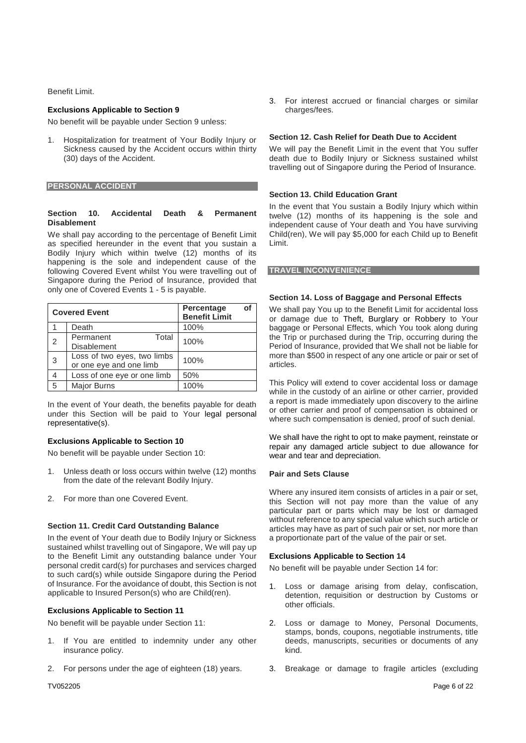Benefit Limit.

# **Exclusions Applicable to Section 9**

No benefit will be payable under Section 9 unless:

1. Hospitalization for treatment of Your Bodily Injury or Sickness caused by the Accident occurs within thirty (30) days of the Accident.

**PERSONAL ACCIDENT**

#### **Section 10. Accidental Death & Permanent Disablement**

We shall pay according to the percentage of Benefit Limit as specified hereunder in the event that you sustain a Bodily Injury which within twelve (12) months of its happening is the sole and independent cause of the following Covered Event whilst You were travelling out of Singapore during the Period of Insurance, provided that only one of Covered Events 1 - 5 is payable.

| <b>Covered Event</b> |                                                        | Percentage<br>οf<br><b>Benefit Limit</b> |
|----------------------|--------------------------------------------------------|------------------------------------------|
|                      | Death                                                  | 100%                                     |
| $\overline{2}$       | Permanent<br>Total<br><b>Disablement</b>               | 100%                                     |
| 3                    | Loss of two eyes, two limbs<br>or one eye and one limb | 100%                                     |
|                      | Loss of one eye or one limb                            | 50%                                      |
| 5                    | <b>Major Burns</b>                                     | 100%                                     |

In the event of Your death, the benefits payable for death under this Section will be paid to Your legal personal representative(s).

## **Exclusions Applicable to Section 10**

No benefit will be payable under Section 10:

- 1. Unless death or loss occurs within twelve (12) months from the date of the relevant Bodily Injury.
- 2. For more than one Covered Event.

## **Section 11. Credit Card Outstanding Balance**

In the event of Your death due to Bodily Injury or Sickness sustained whilst travelling out of Singapore, We will pay up to the Benefit Limit any outstanding balance under Your personal credit card(s) for purchases and services charged to such card(s) while outside Singapore during the Period of Insurance. For the avoidance of doubt, this Section is not applicable to Insured Person(s) who are Child(ren).

#### **Exclusions Applicable to Section 11**

No benefit will be payable under Section 11:

- If You are entitled to indemnity under any other insurance policy.
- 2. For persons under the age of eighteen (18) years.

3. For interest accrued or financial charges or similar charges/fees.

#### **Section 12. Cash Relief for Death Due to Accident**

We will pay the Benefit Limit in the event that You suffer death due to Bodily Injury or Sickness sustained whilst travelling out of Singapore during the Period of Insurance.

#### **Section 13. Child Education Grant**

In the event that You sustain a Bodily Injury which within twelve (12) months of its happening is the sole and independent cause of Your death and You have surviving Child(ren), We will pay \$5,000 for each Child up to Benefit Limit.

#### **TRAVEL INCONVENIENCE**

#### **Section 14. Loss of Baggage and Personal Effects**

We shall pay You up to the Benefit Limit for accidental loss or damage due to Theft, Burglary or Robbery to Your baggage or Personal Effects, which You took along during the Trip or purchased during the Trip, occurring during the Period of Insurance, provided that We shall not be liable for more than \$500 in respect of any one article or pair or set of articles.

This Policy will extend to cover accidental loss or damage while in the custody of an airline or other carrier, provided a report is made immediately upon discovery to the airline or other carrier and proof of compensation is obtained or where such compensation is denied, proof of such denial.

We shall have the right to opt to make payment, reinstate or repair any damaged article subject to due allowance for wear and tear and depreciation.

#### **Pair and Sets Clause**

Where any insured item consists of articles in a pair or set, this Section will not pay more than the value of any particular part or parts which may be lost or damaged without reference to any special value which such article or articles may have as part of such pair or set, nor more than a proportionate part of the value of the pair or set.

#### **Exclusions Applicable to Section 14**

No benefit will be payable under Section 14 for:

- 1. Loss or damage arising from delay, confiscation, detention, requisition or destruction by Customs or other officials.
- 2. Loss or damage to Money, Personal Documents, stamps, bonds, coupons, negotiable instruments, title deeds, manuscripts, securities or documents of any kind.
- 3. Breakage or damage to fragile articles (excluding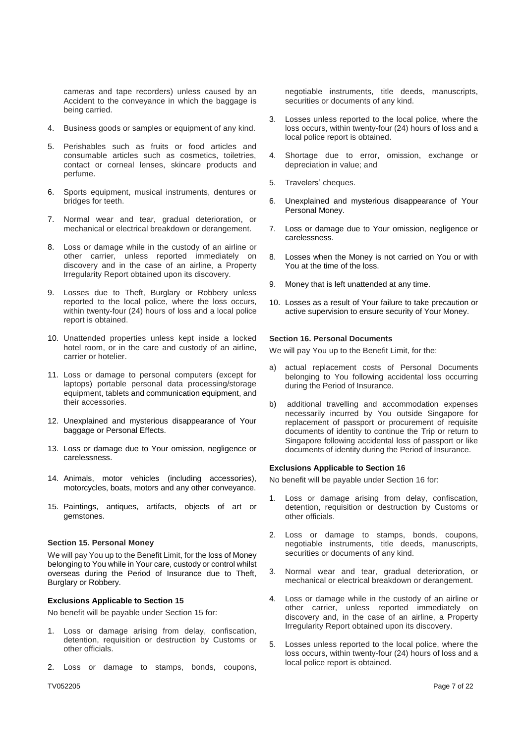cameras and tape recorders) unless caused by an Accident to the conveyance in which the baggage is being carried.

- 4. Business goods or samples or equipment of any kind.
- 5. Perishables such as fruits or food articles and consumable articles such as cosmetics, toiletries, contact or corneal lenses, skincare products and perfume.
- 6. Sports equipment, musical instruments, dentures or bridges for teeth.
- 7. Normal wear and tear, gradual deterioration, or mechanical or electrical breakdown or derangement.
- 8. Loss or damage while in the custody of an airline or other carrier, unless reported immediately on discovery and in the case of an airline, a Property Irregularity Report obtained upon its discovery.
- 9. Losses due to Theft, Burglary or Robbery unless reported to the local police, where the loss occurs, within twenty-four (24) hours of loss and a local police report is obtained.
- 10. Unattended properties unless kept inside a locked hotel room, or in the care and custody of an airline, carrier or hotelier.
- 11. Loss or damage to personal computers (except for laptops) portable personal data processing/storage equipment, tablets and communication equipment, and their accessories.
- 12. Unexplained and mysterious disappearance of Your baggage or Personal Effects.
- 13. Loss or damage due to Your omission, negligence or carelessness.
- 14. Animals, motor vehicles (including accessories), motorcycles, boats, motors and any other conveyance.
- 15. Paintings, antiques, artifacts, objects of art or gemstones.

#### **Section 15. Personal Money**

We will pay You up to the Benefit Limit, for the loss of Money belonging to You while in Your care, custody or control whilst overseas during the Period of Insurance due to Theft, Burglary or Robbery.

## **Exclusions Applicable to Section 15**

No benefit will be payable under Section 15 for:

- Loss or damage arising from delay, confiscation, detention, requisition or destruction by Customs or other officials.
- 2. Loss or damage to stamps, bonds, coupons,

negotiable instruments, title deeds, manuscripts, securities or documents of any kind.

- 3. Losses unless reported to the local police, where the loss occurs, within twenty-four (24) hours of loss and a local police report is obtained.
- 4. Shortage due to error, omission, exchange or depreciation in value; and
- 5. Travelers' cheques.
- 6. Unexplained and mysterious disappearance of Your Personal Money.
- 7. Loss or damage due to Your omission, negligence or carelessness.
- 8. Losses when the Money is not carried on You or with You at the time of the loss.
- 9. Money that is left unattended at any time.
- 10. Losses as a result of Your failure to take precaution or active supervision to ensure security of Your Money.

#### **Section 16. Personal Documents**

We will pay You up to the Benefit Limit, for the:

- a) actual replacement costs of Personal Documents belonging to You following accidental loss occurring during the Period of Insurance.
- b) additional travelling and accommodation expenses necessarily incurred by You outside Singapore for replacement of passport or procurement of requisite documents of identity to continue the Trip or return to Singapore following accidental loss of passport or like documents of identity during the Period of Insurance.

#### **Exclusions Applicable to Section 16**

No benefit will be payable under Section 16 for:

- 1. Loss or damage arising from delay, confiscation, detention, requisition or destruction by Customs or other officials.
- 2. Loss or damage to stamps, bonds, coupons, negotiable instruments, title deeds, manuscripts, securities or documents of any kind.
- 3. Normal wear and tear, gradual deterioration, or mechanical or electrical breakdown or derangement.
- 4. Loss or damage while in the custody of an airline or other carrier, unless reported immediately on discovery and, in the case of an airline, a Property Irregularity Report obtained upon its discovery.
- 5. Losses unless reported to the local police, where the loss occurs, within twenty-four (24) hours of loss and a local police report is obtained.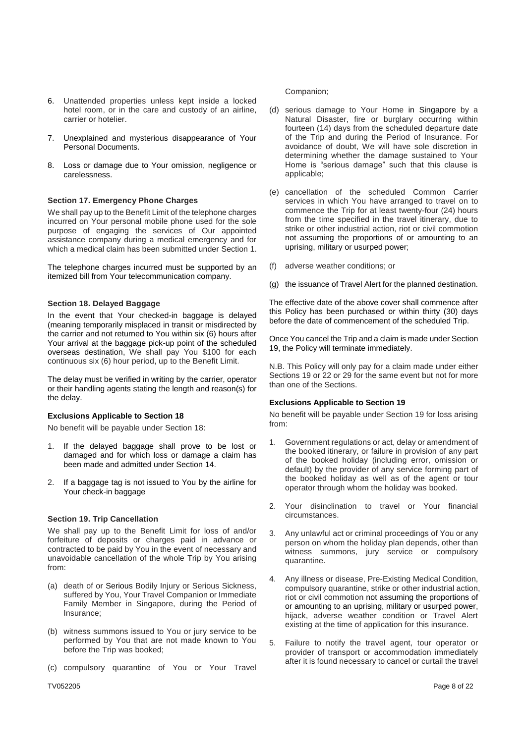- 6. Unattended properties unless kept inside a locked hotel room, or in the care and custody of an airline, carrier or hotelier.
- 7. Unexplained and mysterious disappearance of Your Personal Documents.
- 8. Loss or damage due to Your omission, negligence or carelessness.

## **Section 17. Emergency Phone Charges**

We shall pay up to the Benefit Limit of the telephone charges incurred on Your personal mobile phone used for the sole purpose of engaging the services of Our appointed assistance company during a medical emergency and for which a medical claim has been submitted under Section 1.

The telephone charges incurred must be supported by an itemized bill from Your telecommunication company.

## **Section 18. Delayed Baggage**

In the event that Your checked-in baggage is delayed (meaning temporarily misplaced in transit or misdirected by the carrier and not returned to You within six (6) hours after Your arrival at the baggage pick-up point of the scheduled overseas destination, We shall pay You \$100 for each continuous six (6) hour period, up to the Benefit Limit.

The delay must be verified in writing by the carrier, operator or their handling agents stating the length and reason(s) for the delay.

## **Exclusions Applicable to Section 18**

No benefit will be payable under Section 18:

- 1. If the delayed baggage shall prove to be lost or damaged and for which loss or damage a claim has been made and admitted under Section 14.
- If a baggage tag is not issued to You by the airline for Your check-in baggage

## **Section 19. Trip Cancellation**

We shall pay up to the Benefit Limit for loss of and/or forfeiture of deposits or charges paid in advance or contracted to be paid by You in the event of necessary and unavoidable cancellation of the whole Trip by You arising from:

- (a) death of or Serious Bodily Injury or Serious Sickness, suffered by You, Your Travel Companion or Immediate Family Member in Singapore, during the Period of Insurance;
- (b) witness summons issued to You or jury service to be performed by You that are not made known to You before the Trip was booked;
- (c) compulsory quarantine of You or Your Travel

#### Companion;

- (d) serious damage to Your Home in Singapore by a Natural Disaster, fire or burglary occurring within fourteen (14) days from the scheduled departure date of the Trip and during the Period of Insurance. For avoidance of doubt, We will have sole discretion in determining whether the damage sustained to Your Home is "serious damage" such that this clause is applicable;
- (e) cancellation of the scheduled Common Carrier services in which You have arranged to travel on to commence the Trip for at least twenty-four (24) hours from the time specified in the travel itinerary, due to strike or other industrial action, riot or civil commotion not assuming the proportions of or amounting to an uprising, military or usurped power;
- (f) adverse weather conditions; or
- (g) the issuance of Travel Alert for the planned destination.

The effective date of the above cover shall commence after this Policy has been purchased or within thirty (30) days before the date of commencement of the scheduled Trip.

Once You cancel the Trip and a claim is made under Section 19, the Policy will terminate immediately.

N.B. This Policy will only pay for a claim made under either Sections 19 or 22 or 29 for the same event but not for more than one of the Sections.

## **Exclusions Applicable to Section 19**

No benefit will be payable under Section 19 for loss arising from:

- 1. Government regulations or act, delay or amendment of the booked itinerary, or failure in provision of any part of the booked holiday (including error, omission or default) by the provider of any service forming part of the booked holiday as well as of the agent or tour operator through whom the holiday was booked.
- 2. Your disinclination to travel or Your financial circumstances.
- 3. Any unlawful act or criminal proceedings of You or any person on whom the holiday plan depends, other than witness summons, jury service or compulsory quarantine.
- 4. Any illness or disease, Pre-Existing Medical Condition, compulsory quarantine, strike or other industrial action, riot or civil commotion not assuming the proportions of or amounting to an uprising, military or usurped power, hijack, adverse weather condition or Travel Alert existing at the time of application for this insurance.
- 5. Failure to notify the travel agent, tour operator or provider of transport or accommodation immediately after it is found necessary to cancel or curtail the travel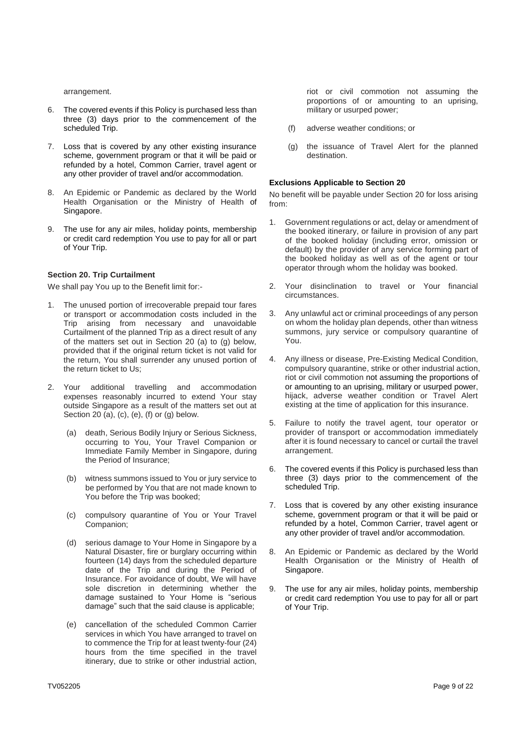arrangement.

- 6. The covered events if this Policy is purchased less than three (3) days prior to the commencement of the scheduled Trip.
- 7. Loss that is covered by any other existing insurance scheme, government program or that it will be paid or refunded by a hotel, Common Carrier, travel agent or any other provider of travel and/or accommodation.
- 8. An Epidemic or Pandemic as declared by the World Health Organisation or the Ministry of Health of Singapore.
- 9. The use for any air miles, holiday points, membership or credit card redemption You use to pay for all or part of Your Trip.

# **Section 20. Trip Curtailment**

We shall pay You up to the Benefit limit for:-

- 1. The unused portion of irrecoverable prepaid tour fares or transport or accommodation costs included in the Trip arising from necessary and unavoidable Curtailment of the planned Trip as a direct result of any of the matters set out in Section 20 (a) to (g) below, provided that if the original return ticket is not valid for the return, You shall surrender any unused portion of the return ticket to Us;
- 2. Your additional travelling and accommodation expenses reasonably incurred to extend Your stay outside Singapore as a result of the matters set out at Section 20 (a), (c), (e), (f) or (g) below.
	- (a) death, Serious Bodily Injury or Serious Sickness, occurring to You, Your Travel Companion or Immediate Family Member in Singapore, during the Period of Insurance;
	- (b) witness summons issued to You or jury service to be performed by You that are not made known to You before the Trip was booked;
	- (c) compulsory quarantine of You or Your Travel Companion;
	- (d) serious damage to Your Home in Singapore by a Natural Disaster, fire or burglary occurring within fourteen (14) days from the scheduled departure date of the Trip and during the Period of Insurance. For avoidance of doubt, We will have sole discretion in determining whether the damage sustained to Your Home is "serious damage" such that the said clause is applicable;
	- (e) cancellation of the scheduled Common Carrier services in which You have arranged to travel on to commence the Trip for at least twenty-four (24) hours from the time specified in the travel itinerary, due to strike or other industrial action,

riot or civil commotion not assuming the proportions of or amounting to an uprising, military or usurped power;

- (f) adverse weather conditions; or
- (g) the issuance of Travel Alert for the planned destination.

## **Exclusions Applicable to Section 20**

No benefit will be payable under Section 20 for loss arising from:

- 1. Government regulations or act, delay or amendment of the booked itinerary, or failure in provision of any part of the booked holiday (including error, omission or default) by the provider of any service forming part of the booked holiday as well as of the agent or tour operator through whom the holiday was booked.
- 2. Your disinclination to travel or Your financial circumstances.
- 3. Any unlawful act or criminal proceedings of any person on whom the holiday plan depends, other than witness summons, jury service or compulsory quarantine of You.
- 4. Any illness or disease, Pre-Existing Medical Condition, compulsory quarantine, strike or other industrial action, riot or civil commotion not assuming the proportions of or amounting to an uprising, military or usurped power, hijack, adverse weather condition or Travel Alert existing at the time of application for this insurance.
- 5. Failure to notify the travel agent, tour operator or provider of transport or accommodation immediately after it is found necessary to cancel or curtail the travel arrangement.
- 6. The covered events if this Policy is purchased less than three (3) days prior to the commencement of the scheduled Trip.
- 7. Loss that is covered by any other existing insurance scheme, government program or that it will be paid or refunded by a hotel, Common Carrier, travel agent or any other provider of travel and/or accommodation.
- 8. An Epidemic or Pandemic as declared by the World Health Organisation or the Ministry of Health of Singapore.
- 9. The use for any air miles, holiday points, membership or credit card redemption You use to pay for all or part of Your Trip.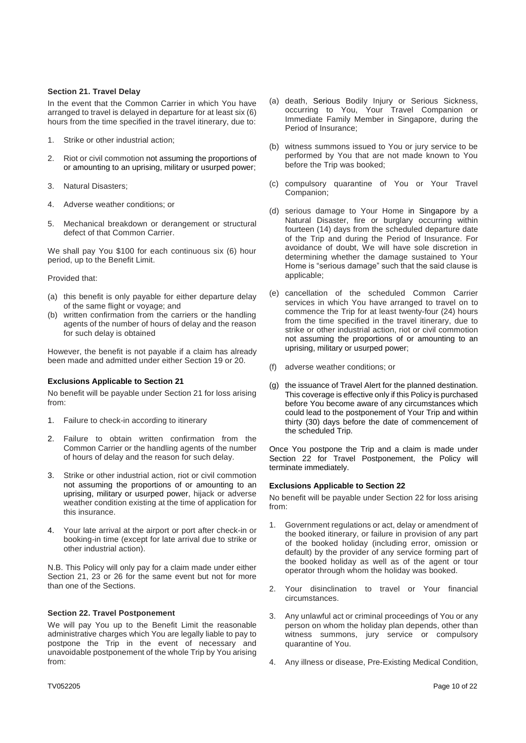#### **Section 21. Travel Delay**

In the event that the Common Carrier in which You have arranged to travel is delayed in departure for at least six (6) hours from the time specified in the travel itinerary, due to:

- 1. Strike or other industrial action;
- 2. Riot or civil commotion not assuming the proportions of or amounting to an uprising, military or usurped power;
- 3. Natural Disasters;
- 4. Adverse weather conditions; or
- 5. Mechanical breakdown or derangement or structural defect of that Common Carrier.

We shall pay You \$100 for each continuous six (6) hour period, up to the Benefit Limit.

## Provided that:

- (a) this benefit is only payable for either departure delay of the same flight or voyage; and
- (b) written confirmation from the carriers or the handling agents of the number of hours of delay and the reason for such delay is obtained

However, the benefit is not payable if a claim has already been made and admitted under either Section 19 or 20.

## **Exclusions Applicable to Section 21**

No benefit will be payable under Section 21 for loss arising from:

- 1. Failure to check-in according to itinerary
- 2. Failure to obtain written confirmation from the Common Carrier or the handling agents of the number of hours of delay and the reason for such delay.
- 3. Strike or other industrial action, riot or civil commotion not assuming the proportions of or amounting to an uprising, military or usurped power, hijack or adverse weather condition existing at the time of application for this insurance.
- 4. Your late arrival at the airport or port after check-in or booking-in time (except for late arrival due to strike or other industrial action).

N.B. This Policy will only pay for a claim made under either Section 21, 23 or 26 for the same event but not for more than one of the Sections.

## **Section 22. Travel Postponement**

We will pay You up to the Benefit Limit the reasonable administrative charges which You are legally liable to pay to postpone the Trip in the event of necessary and unavoidable postponement of the whole Trip by You arising from:

- (a) death, Serious Bodily Injury or Serious Sickness, occurring to You, Your Travel Companion or Immediate Family Member in Singapore, during the Period of Insurance;
- (b) witness summons issued to You or jury service to be performed by You that are not made known to You before the Trip was booked;
- (c) compulsory quarantine of You or Your Travel Companion;
- (d) serious damage to Your Home in Singapore by a Natural Disaster, fire or burglary occurring within fourteen (14) days from the scheduled departure date of the Trip and during the Period of Insurance. For avoidance of doubt, We will have sole discretion in determining whether the damage sustained to Your Home is "serious damage" such that the said clause is applicable;
- (e) cancellation of the scheduled Common Carrier services in which You have arranged to travel on to commence the Trip for at least twenty-four (24) hours from the time specified in the travel itinerary, due to strike or other industrial action, riot or civil commotion not assuming the proportions of or amounting to an uprising, military or usurped power;
- (f) adverse weather conditions; or
- (g) the issuance of Travel Alert for the planned destination. This coverage is effective only if this Policy is purchased before You become aware of any circumstances which could lead to the postponement of Your Trip and within thirty (30) days before the date of commencement of the scheduled Trip.

Once You postpone the Trip and a claim is made under Section 22 for Travel Postponement, the Policy will terminate immediately.

## **Exclusions Applicable to Section 22**

No benefit will be payable under Section 22 for loss arising from:

- 1. Government regulations or act, delay or amendment of the booked itinerary, or failure in provision of any part of the booked holiday (including error, omission or default) by the provider of any service forming part of the booked holiday as well as of the agent or tour operator through whom the holiday was booked.
- 2. Your disinclination to travel or Your financial circumstances.
- 3. Any unlawful act or criminal proceedings of You or any person on whom the holiday plan depends, other than witness summons, jury service or compulsory quarantine of You.
- 4. Any illness or disease, Pre-Existing Medical Condition,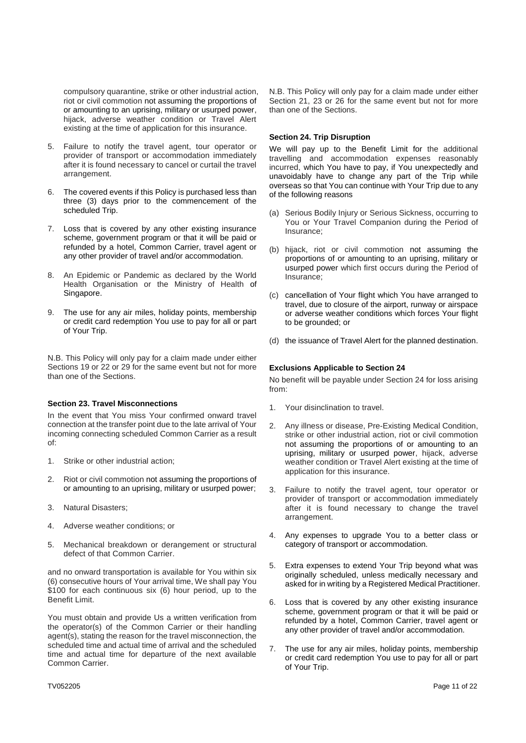compulsory quarantine, strike or other industrial action, riot or civil commotion not assuming the proportions of or amounting to an uprising, military or usurped power, hijack, adverse weather condition or Travel Alert existing at the time of application for this insurance.

- 5. Failure to notify the travel agent, tour operator or provider of transport or accommodation immediately after it is found necessary to cancel or curtail the travel arrangement.
- 6. The covered events if this Policy is purchased less than three (3) days prior to the commencement of the scheduled Trip.
- 7. Loss that is covered by any other existing insurance scheme, government program or that it will be paid or refunded by a hotel, Common Carrier, travel agent or any other provider of travel and/or accommodation.
- 8. An Epidemic or Pandemic as declared by the World Health Organisation or the Ministry of Health of Singapore.
- 9. The use for any air miles, holiday points, membership or credit card redemption You use to pay for all or part of Your Trip.

N.B. This Policy will only pay for a claim made under either Sections 19 or 22 or 29 for the same event but not for more than one of the Sections.

## **Section 23. Travel Misconnections**

In the event that You miss Your confirmed onward travel connection at the transfer point due to the late arrival of Your incoming connecting scheduled Common Carrier as a result of:

- 1. Strike or other industrial action;
- 2. Riot or civil commotion not assuming the proportions of or amounting to an uprising, military or usurped power;
- 3. Natural Disasters;
- 4. Adverse weather conditions; or
- 5. Mechanical breakdown or derangement or structural defect of that Common Carrier.

and no onward transportation is available for You within six (6) consecutive hours of Your arrival time, We shall pay You \$100 for each continuous six (6) hour period, up to the Benefit Limit.

You must obtain and provide Us a written verification from the operator(s) of the Common Carrier or their handling agent(s), stating the reason for the travel misconnection, the scheduled time and actual time of arrival and the scheduled time and actual time for departure of the next available Common Carrier.

N.B. This Policy will only pay for a claim made under either Section 21, 23 or 26 for the same event but not for more than one of the Sections.

#### **Section 24. Trip Disruption**

We will pay up to the Benefit Limit for the additional travelling and accommodation expenses reasonably incurred, which You have to pay, if You unexpectedly and unavoidably have to change any part of the Trip while overseas so that You can continue with Your Trip due to any of the following reasons

- (a) Serious Bodily Injury or Serious Sickness, occurring to You or Your Travel Companion during the Period of Insurance;
- (b) hijack, riot or civil commotion not assuming the proportions of or amounting to an uprising, military or usurped power which first occurs during the Period of Insurance;
- (c) cancellation of Your flight which You have arranged to travel, due to closure of the airport, runway or airspace or adverse weather conditions which forces Your flight to be grounded; or
- (d) the issuance of Travel Alert for the planned destination.

#### **Exclusions Applicable to Section 24**

No benefit will be payable under Section 24 for loss arising from:

- 1. Your disinclination to travel.
- 2. Any illness or disease, Pre-Existing Medical Condition, strike or other industrial action, riot or civil commotion not assuming the proportions of or amounting to an uprising, military or usurped power, hijack, adverse weather condition or Travel Alert existing at the time of application for this insurance.
- 3. Failure to notify the travel agent, tour operator or provider of transport or accommodation immediately after it is found necessary to change the travel arrangement.
- 4. Any expenses to upgrade You to a better class or category of transport or accommodation.
- 5. Extra expenses to extend Your Trip beyond what was originally scheduled, unless medically necessary and asked for in writing by a Registered Medical Practitioner.
- 6. Loss that is covered by any other existing insurance scheme, government program or that it will be paid or refunded by a hotel, Common Carrier, travel agent or any other provider of travel and/or accommodation.
- 7. The use for any air miles, holiday points, membership or credit card redemption You use to pay for all or part of Your Trip.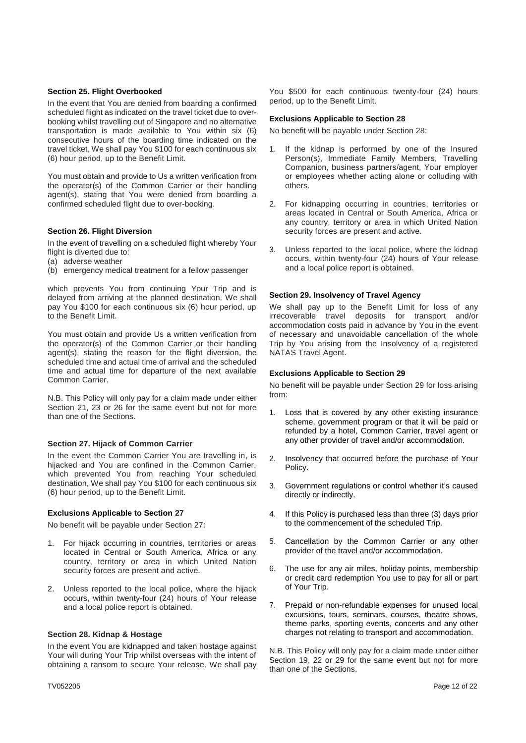#### **Section 25. Flight Overbooked**

In the event that You are denied from boarding a confirmed scheduled flight as indicated on the travel ticket due to overbooking whilst travelling out of Singapore and no alternative transportation is made available to You within six (6) consecutive hours of the boarding time indicated on the travel ticket, We shall pay You \$100 for each continuous six (6) hour period, up to the Benefit Limit.

You must obtain and provide to Us a written verification from the operator(s) of the Common Carrier or their handling agent(s), stating that You were denied from boarding a confirmed scheduled flight due to over-booking.

# **Section 26. Flight Diversion**

In the event of travelling on a scheduled flight whereby Your flight is diverted due to:

- (a) adverse weather
- (b) emergency medical treatment for a fellow passenger

which prevents You from continuing Your Trip and is delayed from arriving at the planned destination, We shall pay You \$100 for each continuous six (6) hour period, up to the Benefit Limit.

You must obtain and provide Us a written verification from the operator(s) of the Common Carrier or their handling agent(s), stating the reason for the flight diversion, the scheduled time and actual time of arrival and the scheduled time and actual time for departure of the next available Common Carrier.

N.B. This Policy will only pay for a claim made under either Section 21, 23 or 26 for the same event but not for more than one of the Sections.

#### **Section 27. Hijack of Common Carrier**

In the event the Common Carrier You are travelling in, is hijacked and You are confined in the Common Carrier, which prevented You from reaching Your scheduled destination, We shall pay You \$100 for each continuous six (6) hour period, up to the Benefit Limit.

#### **Exclusions Applicable to Section 27**

No benefit will be payable under Section 27:

- 1. For hijack occurring in countries, territories or areas located in Central or South America, Africa or any country, territory or area in which United Nation security forces are present and active.
- 2. Unless reported to the local police, where the hijack occurs, within twenty-four (24) hours of Your release and a local police report is obtained.

## **Section 28. Kidnap & Hostage**

In the event You are kidnapped and taken hostage against Your will during Your Trip whilst overseas with the intent of obtaining a ransom to secure Your release, We shall pay You \$500 for each continuous twenty-four (24) hours period, up to the Benefit Limit.

#### **Exclusions Applicable to Section 28**

No benefit will be payable under Section 28:

- 1. If the kidnap is performed by one of the Insured Person(s), Immediate Family Members, Travelling Companion, business partners/agent, Your employer or employees whether acting alone or colluding with others.
- 2. For kidnapping occurring in countries, territories or areas located in Central or South America, Africa or any country, territory or area in which United Nation security forces are present and active.
- 3. Unless reported to the local police, where the kidnap occurs, within twenty-four (24) hours of Your release and a local police report is obtained.

# **Section 29. Insolvency of Travel Agency**

We shall pay up to the Benefit Limit for loss of any irrecoverable travel deposits for transport and/or accommodation costs paid in advance by You in the event of necessary and unavoidable cancellation of the whole Trip by You arising from the Insolvency of a registered NATAS Travel Agent.

#### **Exclusions Applicable to Section 29**

No benefit will be payable under Section 29 for loss arising from:

- 1. Loss that is covered by any other existing insurance scheme, government program or that it will be paid or refunded by a hotel, Common Carrier, travel agent or any other provider of travel and/or accommodation.
- 2. Insolvency that occurred before the purchase of Your Policy.
- 3. Government regulations or control whether it's caused directly or indirectly.
- 4. If this Policy is purchased less than three (3) days prior to the commencement of the scheduled Trip.
- 5. Cancellation by the Common Carrier or any other provider of the travel and/or accommodation.
- 6. The use for any air miles, holiday points, membership or credit card redemption You use to pay for all or part of Your Trip.
- 7. Prepaid or non-refundable expenses for unused local excursions, tours, seminars, courses, theatre shows, theme parks, sporting events, concerts and any other charges not relating to transport and accommodation.

N.B. This Policy will only pay for a claim made under either Section 19, 22 or 29 for the same event but not for more than one of the Sections.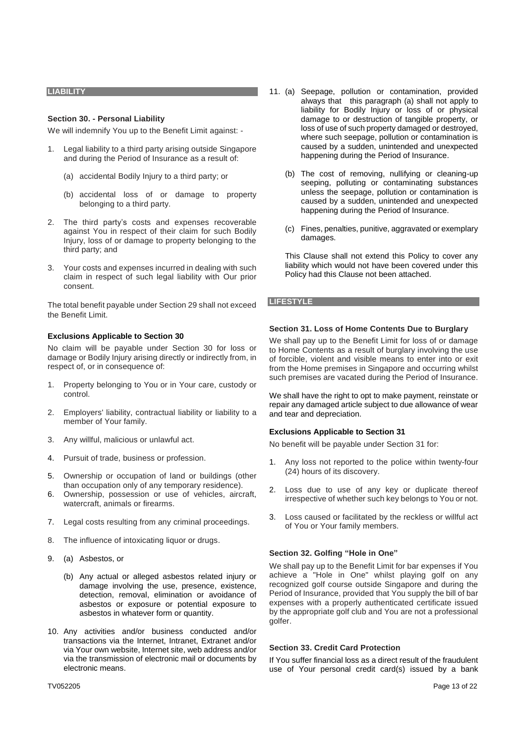#### **LIABILITY**

#### **Section 30. - Personal Liability**

We will indemnify You up to the Benefit Limit against: -

- 1. Legal liability to a third party arising outside Singapore and during the Period of Insurance as a result of:
	- (a) accidental Bodily Injury to a third party; or
	- (b) accidental loss of or damage to property belonging to a third party.
- 2. The third party's costs and expenses recoverable against You in respect of their claim for such Bodily Injury, loss of or damage to property belonging to the third party; and
- 3. Your costs and expenses incurred in dealing with such claim in respect of such legal liability with Our prior consent.

The total benefit payable under Section 29 shall not exceed the Benefit Limit.

#### **Exclusions Applicable to Section 30**

No claim will be payable under Section 30 for loss or damage or Bodily Injury arising directly or indirectly from, in respect of, or in consequence of:

- 1. Property belonging to You or in Your care, custody or control.
- 2. Employers' liability, contractual liability or liability to a member of Your family.
- 3. Any willful, malicious or unlawful act.
- 4. Pursuit of trade, business or profession.
- 5. Ownership or occupation of land or buildings (other than occupation only of any temporary residence).
- 6. Ownership, possession or use of vehicles, aircraft, watercraft, animals or firearms.
- 7. Legal costs resulting from any criminal proceedings.
- 8. The influence of intoxicating liquor or drugs.
- 9. (a) Asbestos, or
	- (b) Any actual or alleged asbestos related injury or damage involving the use, presence, existence, detection, removal, elimination or avoidance of asbestos or exposure or potential exposure to asbestos in whatever form or quantity.
- 10. Any activities and/or business conducted and/or transactions via the Internet, Intranet, Extranet and/or via Your own website, Internet site, web address and/or via the transmission of electronic mail or documents by electronic means.
- 11. (a) Seepage, pollution or contamination, provided always that this paragraph (a) shall not apply to liability for Bodily Injury or loss of or physical damage to or destruction of tangible property, or loss of use of such property damaged or destroyed, where such seepage, pollution or contamination is caused by a sudden, unintended and unexpected happening during the Period of Insurance.
	- (b) The cost of removing, nullifying or cleaning-up seeping, polluting or contaminating substances unless the seepage, pollution or contamination is caused by a sudden, unintended and unexpected happening during the Period of Insurance.
	- (c) Fines, penalties, punitive, aggravated or exemplary damages.

This Clause shall not extend this Policy to cover any liability which would not have been covered under this Policy had this Clause not been attached.

#### **LIFESTYLE**

#### **Section 31. Loss of Home Contents Due to Burglary**

We shall pay up to the Benefit Limit for loss of or damage to Home Contents as a result of burglary involving the use of forcible, violent and visible means to enter into or exit from the Home premises in Singapore and occurring whilst such premises are vacated during the Period of Insurance.

We shall have the right to opt to make payment, reinstate or repair any damaged article subject to due allowance of wear and tear and depreciation.

## **Exclusions Applicable to Section 31**

No benefit will be payable under Section 31 for:

- 1. Any loss not reported to the police within twenty-four (24) hours of its discovery.
- 2. Loss due to use of any key or duplicate thereof irrespective of whether such key belongs to You or not.
- 3. Loss caused or facilitated by the reckless or willful act of You or Your family members.

## **Section 32. Golfing "Hole in One"**

We shall pay up to the Benefit Limit for bar expenses if You achieve a "Hole in One" whilst playing golf on any recognized golf course outside Singapore and during the Period of Insurance, provided that You supply the bill of bar expenses with a properly authenticated certificate issued by the appropriate golf club and You are not a professional golfer.

#### **Section 33. Credit Card Protection**

If You suffer financial loss as a direct result of the fraudulent use of Your personal credit card(s) issued by a bank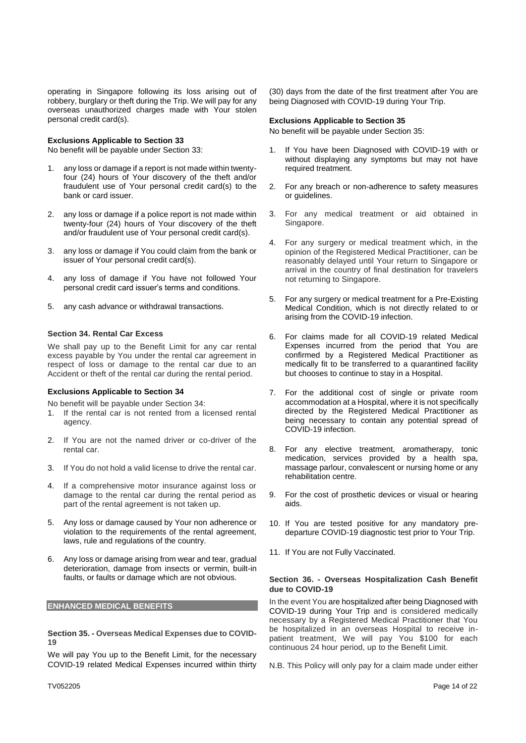operating in Singapore following its loss arising out of robbery, burglary or theft during the Trip. We will pay for any overseas unauthorized charges made with Your stolen personal credit card(s).

#### **Exclusions Applicable to Section 33**

No benefit will be payable under Section 33:

- 1. any loss or damage if a report is not made within twentyfour (24) hours of Your discovery of the theft and/or fraudulent use of Your personal credit card(s) to the bank or card issuer.
- 2. any loss or damage if a police report is not made within twenty-four (24) hours of Your discovery of the theft and/or fraudulent use of Your personal credit card(s).
- 3. any loss or damage if You could claim from the bank or issuer of Your personal credit card(s).
- 4. any loss of damage if You have not followed Your personal credit card issuer's terms and conditions.
- 5. any cash advance or withdrawal transactions.

#### **Section 34. Rental Car Excess**

We shall pay up to the Benefit Limit for any car rental excess payable by You under the rental car agreement in respect of loss or damage to the rental car due to an Accident or theft of the rental car during the rental period.

# **Exclusions Applicable to Section 34**

No benefit will be payable under Section 34:

- 1. If the rental car is not rented from a licensed rental agency.
- 2. If You are not the named driver or co-driver of the rental car.
- 3. If You do not hold a valid license to drive the rental car.
- 4. If a comprehensive motor insurance against loss or damage to the rental car during the rental period as part of the rental agreement is not taken up.
- 5. Any loss or damage caused by Your non adherence or violation to the requirements of the rental agreement, laws, rule and regulations of the country.
- 6. Any loss or damage arising from wear and tear, gradual deterioration, damage from insects or vermin, built-in faults, or faults or damage which are not obvious.

#### **ENHANCED MEDICAL BENEFITS**

**Section 35. - Overseas Medical Expenses due to COVID-19**

We will pay You up to the Benefit Limit, for the necessary COVID-19 related Medical Expenses incurred within thirty

(30) days from the date of the first treatment after You are being Diagnosed with COVID-19 during Your Trip.

#### **Exclusions Applicable to Section 35**

No benefit will be payable under Section 35:

- 1. If You have been Diagnosed with COVID-19 with or without displaying any symptoms but may not have required treatment.
- 2. For any breach or non-adherence to safety measures or guidelines.
- 3. For any medical treatment or aid obtained in Singapore.
- 4. For any surgery or medical treatment which, in the opinion of the Registered Medical Practitioner, can be reasonably delayed until Your return to Singapore or arrival in the country of final destination for travelers not returning to Singapore.
- 5. For any surgery or medical treatment for a Pre-Existing Medical Condition, which is not directly related to or arising from the COVID-19 infection.
- 6. For claims made for all COVID-19 related Medical Expenses incurred from the period that You are confirmed by a Registered Medical Practitioner as medically fit to be transferred to a quarantined facility but chooses to continue to stay in a Hospital.
- 7. For the additional cost of single or private room accommodation at a Hospital, where it is not specifically directed by the Registered Medical Practitioner as being necessary to contain any potential spread of COVID-19 infection.
- 8. For any elective treatment, aromatherapy, tonic medication, services provided by a health spa, massage parlour, convalescent or nursing home or any rehabilitation centre.
- 9. For the cost of prosthetic devices or visual or hearing aids.
- 10. If You are tested positive for any mandatory predeparture COVID-19 diagnostic test prior to Your Trip.
- 11. If You are not Fully Vaccinated.

## **Section 36. - Overseas Hospitalization Cash Benefit due to COVID-19**

In the event You are hospitalized after being Diagnosed with COVID-19 during Your Trip and is considered medically necessary by a Registered Medical Practitioner that You be hospitalized in an overseas Hospital to receive inpatient treatment, We will pay You \$100 for each continuous 24 hour period, up to the Benefit Limit.

N.B. This Policy will only pay for a claim made under either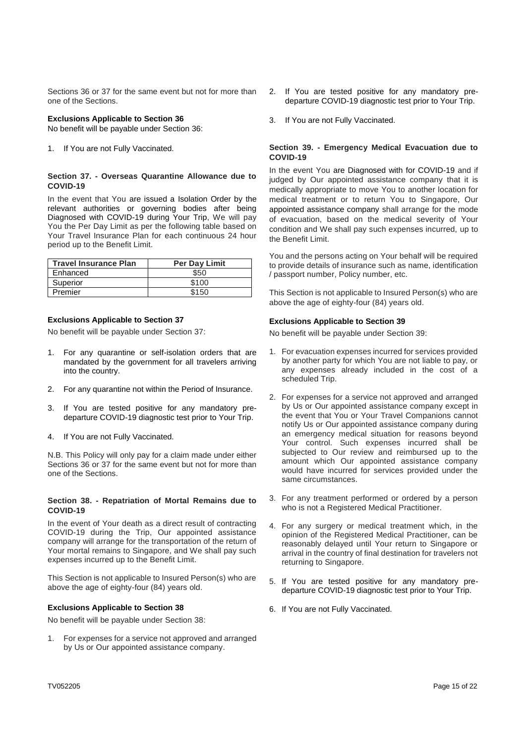Sections 36 or 37 for the same event but not for more than one of the Sections.

# **Exclusions Applicable to Section 36**

No benefit will be payable under Section 36:

1. If You are not Fully Vaccinated.

## **Section 37. - Overseas Quarantine Allowance due to COVID-19**

In the event that You are issued a Isolation Order by the relevant authorities or governing bodies after being Diagnosed with COVID-19 during Your Trip, We will pay You the Per Day Limit as per the following table based on Your Travel Insurance Plan for each continuous 24 hour period up to the Benefit Limit.

| <b>Travel Insurance Plan</b> | <b>Per Day Limit</b> |
|------------------------------|----------------------|
| Enhanced                     | \$50                 |
| Superior                     | \$100                |
| Premier                      | 150                  |

# **Exclusions Applicable to Section 37**

No benefit will be payable under Section 37:

- 1. For any quarantine or self-isolation orders that are mandated by the government for all travelers arriving into the country.
- 2. For any quarantine not within the Period of Insurance.
- 3. If You are tested positive for any mandatory predeparture COVID-19 diagnostic test prior to Your Trip.
- 4. If You are not Fully Vaccinated.

N.B. This Policy will only pay for a claim made under either Sections 36 or 37 for the same event but not for more than one of the Sections.

# **Section 38. - Repatriation of Mortal Remains due to COVID-19**

In the event of Your death as a direct result of contracting COVID-19 during the Trip, Our appointed assistance company will arrange for the transportation of the return of Your mortal remains to Singapore, and We shall pay such expenses incurred up to the Benefit Limit.

This Section is not applicable to Insured Person(s) who are above the age of eighty-four (84) years old.

# **Exclusions Applicable to Section 38**

No benefit will be payable under Section 38:

For expenses for a service not approved and arranged by Us or Our appointed assistance company.

- 2. If You are tested positive for any mandatory predeparture COVID-19 diagnostic test prior to Your Trip.
- 3. If You are not Fully Vaccinated.

# **Section 39. - Emergency Medical Evacuation due to COVID-19**

In the event You are Diagnosed with for COVID-19 and if judged by Our appointed assistance company that it is medically appropriate to move You to another location for medical treatment or to return You to Singapore, Our appointed assistance company shall arrange for the mode of evacuation, based on the medical severity of Your condition and We shall pay such expenses incurred, up to the Benefit Limit.

You and the persons acting on Your behalf will be required to provide details of insurance such as name, identification / passport number, Policy number, etc.

This Section is not applicable to Insured Person(s) who are above the age of eighty-four (84) years old.

# **Exclusions Applicable to Section 39**

No benefit will be payable under Section 39:

- 1. For evacuation expenses incurred for services provided by another party for which You are not liable to pay, or any expenses already included in the cost of a scheduled Trip.
- 2. For expenses for a service not approved and arranged by Us or Our appointed assistance company except in the event that You or Your Travel Companions cannot notify Us or Our appointed assistance company during an emergency medical situation for reasons beyond Your control. Such expenses incurred shall be subjected to Our review and reimbursed up to the amount which Our appointed assistance company would have incurred for services provided under the same circumstances.
- 3. For any treatment performed or ordered by a person who is not a Registered Medical Practitioner.
- 4. For any surgery or medical treatment which, in the opinion of the Registered Medical Practitioner, can be reasonably delayed until Your return to Singapore or arrival in the country of final destination for travelers not returning to Singapore.
- 5. If You are tested positive for any mandatory predeparture COVID-19 diagnostic test prior to Your Trip.
- 6. If You are not Fully Vaccinated.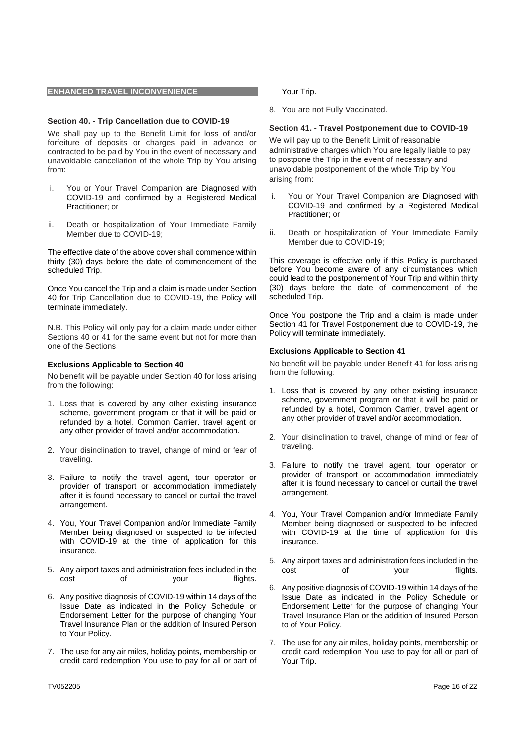#### **ENHANCED TRAVEL INCONVENIENCE**

#### **Section 40. - Trip Cancellation due to COVID-19**

We shall pay up to the Benefit Limit for loss of and/or forfeiture of deposits or charges paid in advance or contracted to be paid by You in the event of necessary and unavoidable cancellation of the whole Trip by You arising from:

- i. You or Your Travel Companion are Diagnosed with COVID-19 and confirmed by a Registered Medical Practitioner; or
- ii. Death or hospitalization of Your Immediate Family Member due to COVID-19;

The effective date of the above cover shall commence within thirty (30) days before the date of commencement of the scheduled Trip.

Once You cancel the Trip and a claim is made under Section 40 for Trip Cancellation due to COVID-19, the Policy will terminate immediately.

N.B. This Policy will only pay for a claim made under either Sections 40 or 41 for the same event but not for more than one of the Sections.

#### **Exclusions Applicable to Section 40**

No benefit will be payable under Section 40 for loss arising from the following:

- 1. Loss that is covered by any other existing insurance scheme, government program or that it will be paid or refunded by a hotel, Common Carrier, travel agent or any other provider of travel and/or accommodation.
- 2. Your disinclination to travel, change of mind or fear of traveling.
- 3. Failure to notify the travel agent, tour operator or provider of transport or accommodation immediately after it is found necessary to cancel or curtail the travel arrangement.
- 4. You, Your Travel Companion and/or Immediate Family Member being diagnosed or suspected to be infected with COVID-19 at the time of application for this insurance.
- 5. Any airport taxes and administration fees included in the cost of your flights.
- 6. Any positive diagnosis of COVID-19 within 14 days of the Issue Date as indicated in the Policy Schedule or Endorsement Letter for the purpose of changing Your Travel Insurance Plan or the addition of Insured Person to Your Policy.
- 7. The use for any air miles, holiday points, membership or credit card redemption You use to pay for all or part of

Your Trip.

8. You are not Fully Vaccinated.

#### **Section 41. - Travel Postponement due to COVID-19**

We will pay up to the Benefit Limit of reasonable administrative charges which You are legally liable to pay to postpone the Trip in the event of necessary and unavoidable postponement of the whole Trip by You arising from:

- i. You or Your Travel Companion are Diagnosed with COVID-19 and confirmed by a Registered Medical Practitioner; or
- ii. Death or hospitalization of Your Immediate Family Member due to COVID-19;

This coverage is effective only if this Policy is purchased before You become aware of any circumstances which could lead to the postponement of Your Trip and within thirty (30) days before the date of commencement of the scheduled Trip.

Once You postpone the Trip and a claim is made under Section 41 for Travel Postponement due to COVID-19, the Policy will terminate immediately.

#### **Exclusions Applicable to Section 41**

No benefit will be payable under Benefit 41 for loss arising from the following:

- 1. Loss that is covered by any other existing insurance scheme, government program or that it will be paid or refunded by a hotel, Common Carrier, travel agent or any other provider of travel and/or accommodation.
- 2. Your disinclination to travel, change of mind or fear of traveling.
- 3. Failure to notify the travel agent, tour operator or provider of transport or accommodation immediately after it is found necessary to cancel or curtail the travel arrangement.
- 4. You, Your Travel Companion and/or Immediate Family Member being diagnosed or suspected to be infected with COVID-19 at the time of application for this insurance.
- 5. Any airport taxes and administration fees included in the cost of your flights.
- 6. Any positive diagnosis of COVID-19 within 14 days of the Issue Date as indicated in the Policy Schedule or Endorsement Letter for the purpose of changing Your Travel Insurance Plan or the addition of Insured Person to of Your Policy.
- 7. The use for any air miles, holiday points, membership or credit card redemption You use to pay for all or part of Your Trip.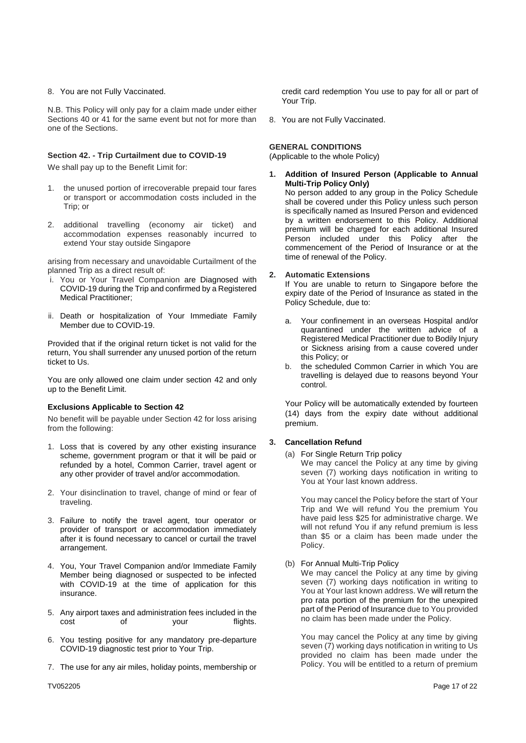# 8. You are not Fully Vaccinated.

N.B. This Policy will only pay for a claim made under either Sections 40 or 41 for the same event but not for more than one of the Sections.

## **Section 42. - Trip Curtailment due to COVID-19**

We shall pay up to the Benefit Limit for:

- 1. the unused portion of irrecoverable prepaid tour fares or transport or accommodation costs included in the Trip; or
- 2. additional travelling (economy air ticket) and accommodation expenses reasonably incurred to extend Your stay outside Singapore

arising from necessary and unavoidable Curtailment of the planned Trip as a direct result of:

- i. You or Your Travel Companion are Diagnosed with COVID-19 during the Trip and confirmed by a Registered Medical Practitioner;
- ii. Death or hospitalization of Your Immediate Family Member due to COVID-19.

Provided that if the original return ticket is not valid for the return, You shall surrender any unused portion of the return ticket to Us.

You are only allowed one claim under section 42 and only up to the Benefit Limit.

## **Exclusions Applicable to Section 42**

No benefit will be payable under Section 42 for loss arising from the following:

- 1. Loss that is covered by any other existing insurance scheme, government program or that it will be paid or refunded by a hotel, Common Carrier, travel agent or any other provider of travel and/or accommodation.
- 2. Your disinclination to travel, change of mind or fear of traveling.
- 3. Failure to notify the travel agent, tour operator or provider of transport or accommodation immediately after it is found necessary to cancel or curtail the travel arrangement.
- 4. You, Your Travel Companion and/or Immediate Family Member being diagnosed or suspected to be infected with COVID-19 at the time of application for this insurance.
- 5. Any airport taxes and administration fees included in the cost of your flights.
- 6. You testing positive for any mandatory pre-departure COVID-19 diagnostic test prior to Your Trip.
- 7. The use for any air miles, holiday points, membership or

credit card redemption You use to pay for all or part of Your Trip.

8. You are not Fully Vaccinated.

## **GENERAL CONDITIONS**

(Applicable to the whole Policy)

**1. Addition of Insured Person (Applicable to Annual Multi-Trip Policy Only)**

No person added to any group in the Policy Schedule shall be covered under this Policy unless such person is specifically named as Insured Person and evidenced by a written endorsement to this Policy. Additional premium will be charged for each additional Insured Person included under this Policy after the commencement of the Period of Insurance or at the time of renewal of the Policy.

## **2. Automatic Extensions**

If You are unable to return to Singapore before the expiry date of the Period of Insurance as stated in the Policy Schedule, due to:

- a. Your confinement in an overseas Hospital and/or quarantined under the written advice of a Registered Medical Practitioner due to Bodily Injury or Sickness arising from a cause covered under this Policy; or
- b. the scheduled Common Carrier in which You are travelling is delayed due to reasons beyond Your control.

Your Policy will be automatically extended by fourteen (14) days from the expiry date without additional premium.

## **3. Cancellation Refund**

(a) For Single Return Trip policy We may cancel the Policy at any time by giving seven (7) working days notification in writing to You at Your last known address.

You may cancel the Policy before the start of Your Trip and We will refund You the premium You have paid less \$25 for administrative charge. We will not refund You if any refund premium is less than \$5 or a claim has been made under the Policy.

(b) For Annual Multi-Trip Policy

We may cancel the Policy at any time by giving seven (7) working days notification in writing to You at Your last known address. We will return the pro rata portion of the premium for the unexpired part of the Period of Insurance due to You provided no claim has been made under the Policy.

You may cancel the Policy at any time by giving seven (7) working days notification in writing to Us provided no claim has been made under the Policy. You will be entitled to a return of premium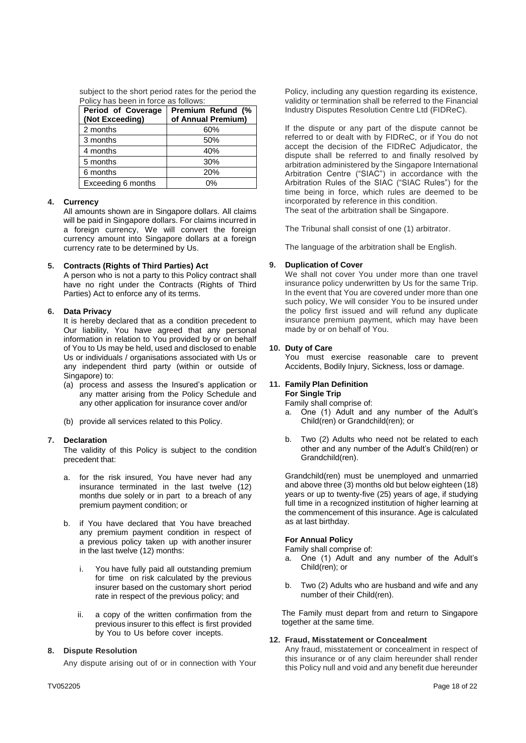| subject to the short period rates for the period the |
|------------------------------------------------------|
| Policy has been in force as follows:                 |

| Period of Coverage<br>(Not Exceeding) | Premium Refund (%<br>of Annual Premium) |
|---------------------------------------|-----------------------------------------|
| 2 months                              | 60%                                     |
| 3 months                              | 50%                                     |
| 4 months                              | 40%                                     |
| 5 months                              | 30%                                     |
| 6 months                              | 20%                                     |
| Exceeding 6 months                    | 0%                                      |

## **4. Currency**

All amounts shown are in Singapore dollars. All claims will be paid in Singapore dollars. For claims incurred in a foreign currency, We will convert the foreign currency amount into Singapore dollars at a foreign currency rate to be determined by Us.

# **5. Contracts (Rights of Third Parties) Act**

A person who is not a party to this Policy contract shall have no right under the Contracts (Rights of Third Parties) Act to enforce any of its terms.

# **6. Data Privacy**

It is hereby declared that as a condition precedent to Our liability, You have agreed that any personal information in relation to You provided by or on behalf of You to Us may be held, used and disclosed to enable Us or individuals / organisations associated with Us or any independent third party (within or outside of Singapore) to:

- (a) process and assess the Insured's application or any matter arising from the Policy Schedule and any other application for insurance cover and/or
- (b) provide all services related to this Policy.

## **7. Declaration**

The validity of this Policy is subject to the condition precedent that:

- a. for the risk insured, You have never had any insurance terminated in the last twelve (12) months due solely or in part to a breach of any premium payment condition; or
- b. if You have declared that You have breached any premium payment condition in respect of a previous policy taken up with another insurer in the last twelve (12) months:
	- i. You have fully paid all outstanding premium for time on risk calculated by the previous insurer based on the customary short period rate in respect of the previous policy; and
	- ii. a copy of the written confirmation from the previous insurer to this effect is first provided by You to Us before cover incepts.

# **8. Dispute Resolution**

Any dispute arising out of or in connection with Your

Policy, including any question regarding its existence, validity or termination shall be referred to the Financial Industry Disputes Resolution Centre Ltd (FIDReC).

If the dispute or any part of the dispute cannot be referred to or dealt with by FIDReC, or if You do not accept the decision of the FIDReC Adjudicator, the dispute shall be referred to and finally resolved by arbitration administered by the Singapore International Arbitration Centre ("SIAC") in accordance with the Arbitration Rules of the SIAC ("SIAC Rules") for the time being in force, which rules are deemed to be incorporated by reference in this condition. The seat of the arbitration shall be Singapore.

The Tribunal shall consist of one (1) arbitrator.

The language of the arbitration shall be English.

# **9. Duplication of Cover**

We shall not cover You under more than one travel insurance policy underwritten by Us for the same Trip. In the event that You are covered under more than one such policy, We will consider You to be insured under the policy first issued and will refund any duplicate insurance premium payment, which may have been made by or on behalf of You.

# **10. Duty of Care**

You must exercise reasonable care to prevent Accidents, Bodily Injury, Sickness, loss or damage.

# **11. Family Plan Definition For Single Trip**

Family shall comprise of:

- a. One (1) Adult and any number of the Adult's Child(ren) or Grandchild(ren); or
- b. Two (2) Adults who need not be related to each other and any number of the Adult's Child(ren) or Grandchild(ren).

Grandchild(ren) must be unemployed and unmarried and above three (3) months old but below eighteen (18) years or up to twenty-five (25) years of age, if studying full time in a recognized institution of higher learning at the commencement of this insurance. Age is calculated as at last birthday.

# **For Annual Policy**

Family shall comprise of:

- a. One (1) Adult and any number of the Adult's Child(ren); or
- b. Two (2) Adults who are husband and wife and any number of their Child(ren).

The Family must depart from and return to Singapore together at the same time.

## **12. Fraud, Misstatement or Concealment**

Any fraud, misstatement or concealment in respect of this insurance or of any claim hereunder shall render this Policy null and void and any benefit due hereunder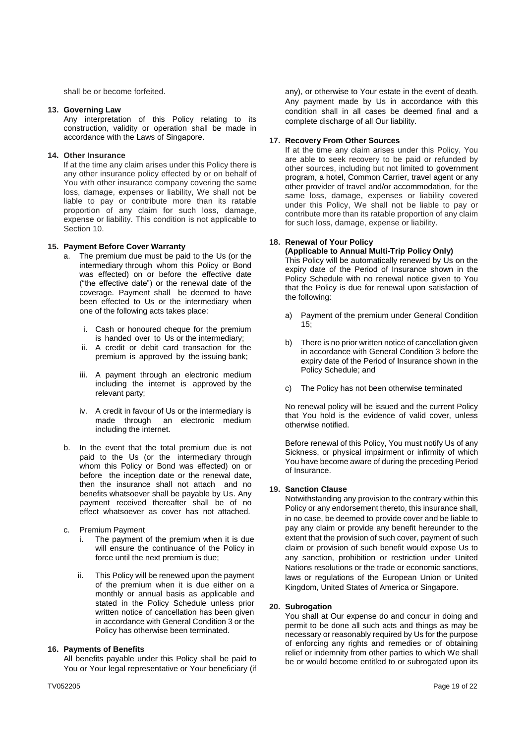shall be or become forfeited.

#### **13. Governing Law**

Any interpretation of this Policy relating to its construction, validity or operation shall be made in accordance with the Laws of Singapore.

#### **14. Other Insurance**

If at the time any claim arises under this Policy there is any other insurance policy effected by or on behalf of You with other insurance company covering the same loss, damage, expenses or liability, We shall not be liable to pay or contribute more than its ratable proportion of any claim for such loss, damage, expense or liability. This condition is not applicable to Section 10.

#### **15. Payment Before Cover Warranty**

- a. The premium due must be paid to the Us (or the intermediary through whom this Policy or Bond was effected) on or before the effective date ("the effective date") or the renewal date of the coverage. Payment shall be deemed to have been effected to Us or the intermediary when one of the following acts takes place:
	- i. Cash or honoured cheque for the premium is handed over to Us or the intermediary;
	- ii. A credit or debit card transaction for the premium is approved by the issuing bank;
	- iii. A payment through an electronic medium including the internet is approved by the relevant party;
	- iv. A credit in favour of Us or the intermediary is made through an electronic medium including the internet.
- b. In the event that the total premium due is not paid to the Us (or the intermediary through whom this Policy or Bond was effected) on or before the inception date or the renewal date, then the insurance shall not attach and no benefits whatsoever shall be payable by Us. Any payment received thereafter shall be of no effect whatsoever as cover has not attached.
- c. Premium Payment
	- i. The payment of the premium when it is due will ensure the continuance of the Policy in force until the next premium is due;
	- ii. This Policy will be renewed upon the payment of the premium when it is due either on a monthly or annual basis as applicable and stated in the Policy Schedule unless prior written notice of cancellation has been given in accordance with General Condition 3 or the Policy has otherwise been terminated.

## **16. Payments of Benefits**

All benefits payable under this Policy shall be paid to You or Your legal representative or Your beneficiary (if

any), or otherwise to Your estate in the event of death. Any payment made by Us in accordance with this condition shall in all cases be deemed final and a complete discharge of all Our liability.

#### **17. Recovery From Other Sources**

If at the time any claim arises under this Policy, You are able to seek recovery to be paid or refunded by other sources, including but not limited to government program, a hotel, Common Carrier, travel agent or any other provider of travel and/or accommodation, for the same loss, damage, expenses or liability covered under this Policy, We shall not be liable to pay or contribute more than its ratable proportion of any claim for such loss, damage, expense or liability.

# **18. Renewal of Your Policy**

**(Applicable to Annual Multi-Trip Policy Only)** This Policy will be automatically renewed by Us on the expiry date of the Period of Insurance shown in the Policy Schedule with no renewal notice given to You that the Policy is due for renewal upon satisfaction of the following:

- a) Payment of the premium under General Condition 15;
- b) There is no prior written notice of cancellation given in accordance with General Condition 3 before the expiry date of the Period of Insurance shown in the Policy Schedule; and
- c) The Policy has not been otherwise terminated

No renewal policy will be issued and the current Policy that You hold is the evidence of valid cover, unless otherwise notified.

Before renewal of this Policy, You must notify Us of any Sickness, or physical impairment or infirmity of which You have become aware of during the preceding Period of Insurance.

#### **19. Sanction Clause**

Notwithstanding any provision to the contrary within this Policy or any endorsement thereto, this insurance shall, in no case, be deemed to provide cover and be liable to pay any claim or provide any benefit hereunder to the extent that the provision of such cover, payment of such claim or provision of such benefit would expose Us to any sanction, prohibition or restriction under United Nations resolutions or the trade or economic sanctions, laws or regulations of the European Union or United Kingdom, United States of America or Singapore.

#### **20. Subrogation**

You shall at Our expense do and concur in doing and permit to be done all such acts and things as may be necessary or reasonably required by Us for the purpose of enforcing any rights and remedies or of obtaining relief or indemnity from other parties to which We shall be or would become entitled to or subrogated upon its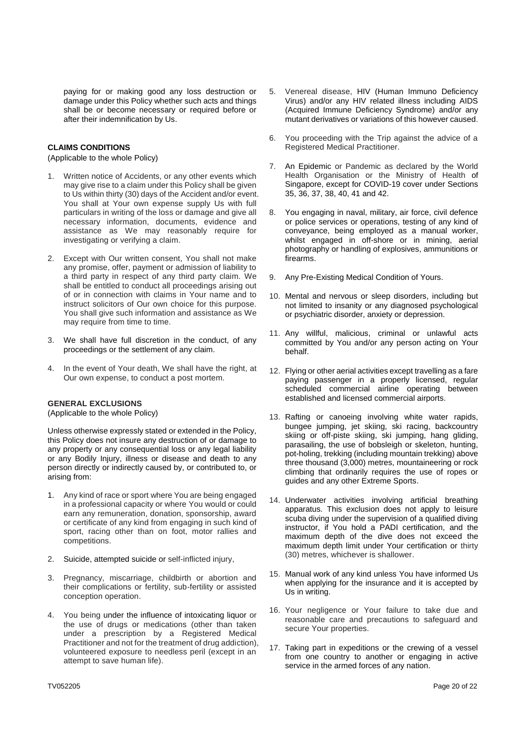paying for or making good any loss destruction or damage under this Policy whether such acts and things shall be or become necessary or required before or after their indemnification by Us.

# **CLAIMS CONDITIONS**

(Applicable to the whole Policy)

- Written notice of Accidents, or any other events which may give rise to a claim under this Policy shall be given to Us within thirty (30) days of the Accident and/or event. You shall at Your own expense supply Us with full particulars in writing of the loss or damage and give all necessary information, documents, evidence and assistance as We may reasonably require for investigating or verifying a claim.
- 2. Except with Our written consent, You shall not make any promise, offer, payment or admission of liability to a third party in respect of any third party claim. We shall be entitled to conduct all proceedings arising out of or in connection with claims in Your name and to instruct solicitors of Our own choice for this purpose. You shall give such information and assistance as We may require from time to time.
- 3. We shall have full discretion in the conduct, of any proceedings or the settlement of any claim.
- 4. In the event of Your death, We shall have the right, at Our own expense, to conduct a post mortem.

# **GENERAL EXCLUSIONS**

(Applicable to the whole Policy)

Unless otherwise expressly stated or extended in the Policy, this Policy does not insure any destruction of or damage to any property or any consequential loss or any legal liability or any Bodily Injury, illness or disease and death to any person directly or indirectly caused by, or contributed to, or arising from:

- 1. Any kind of race or sport where You are being engaged in a professional capacity or where You would or could earn any remuneration, donation, sponsorship, award or certificate of any kind from engaging in such kind of sport, racing other than on foot, motor rallies and competitions.
- 2. Suicide, attempted suicide or self-inflicted injury,
- 3. Pregnancy, miscarriage, childbirth or abortion and their complications or fertility, sub-fertility or assisted conception operation.
- 4. You being under the influence of intoxicating liquor or the use of drugs or medications (other than taken under a prescription by a Registered Medical Practitioner and not for the treatment of drug addiction), volunteered exposure to needless peril (except in an attempt to save human life).
- 5. Venereal disease, HIV (Human Immuno Deficiency Virus) and/or any HIV related illness including AIDS (Acquired Immune Deficiency Syndrome) and/or any mutant derivatives or variations of this however caused.
- 6. You proceeding with the Trip against the advice of a Registered Medical Practitioner.
- 7. An Epidemic or Pandemic as declared by the World Health Organisation or the Ministry of Health of Singapore, except for COVID-19 cover under Sections 35, 36, 37, 38, 40, 41 and 42.
- 8. You engaging in naval, military, air force, civil defence or police services or operations, testing of any kind of conveyance, being employed as a manual worker, whilst engaged in off-shore or in mining, aerial photography or handling of explosives, ammunitions or firearms.
- 9. Any Pre-Existing Medical Condition of Yours.
- 10. Mental and nervous or sleep disorders, including but not limited to insanity or any diagnosed psychological or psychiatric disorder, anxiety or depression.
- 11. Any willful, malicious, criminal or unlawful acts committed by You and/or any person acting on Your behalf.
- 12. Flying or other aerial activities except travelling as a fare paying passenger in a properly licensed, regular scheduled commercial airline operating between established and licensed commercial airports.
- 13. Rafting or canoeing involving white water rapids, bungee jumping, jet skiing, ski racing, backcountry skiing or off-piste skiing, ski jumping, hang gliding, parasailing, the use of bobsleigh or skeleton, hunting, pot-holing, trekking (including mountain trekking) above three thousand (3,000) metres, mountaineering or rock climbing that ordinarily requires the use of ropes or guides and any other Extreme Sports.
- 14. Underwater activities involving artificial breathing apparatus. This exclusion does not apply to leisure scuba diving under the supervision of a qualified diving instructor, if You hold a PADI certification, and the maximum depth of the dive does not exceed the maximum depth limit under Your certification or thirty (30) metres, whichever is shallower.
- 15. Manual work of any kind unless You have informed Us when applying for the insurance and it is accepted by Us in writing.
- 16. Your negligence or Your failure to take due and reasonable care and precautions to safeguard and secure Your properties.
- 17. Taking part in expeditions or the crewing of a vessel from one country to another or engaging in active service in the armed forces of any nation.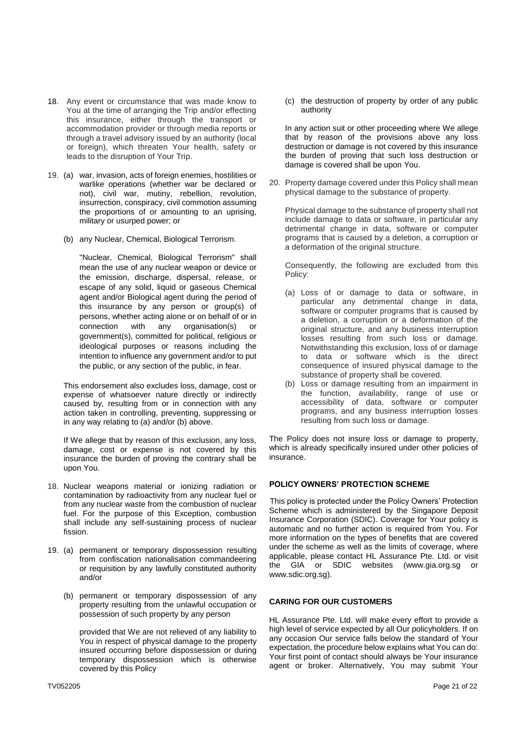- 18. Any event or circumstance that was made know to You at the time of arranging the Trip and/or effecting this insurance, either through the transport or accommodation provider or through media reports or through a travel advisory issued by an authority (local or foreign), which threaten Your health, safety or leads to the disruption of Your Trip.
- 19. (a) war, invasion, acts of foreign enemies, hostilities or warlike operations (whether war be declared or not), civil war, mutiny, rebellion, revolution, insurrection, conspiracy, civil commotion assuming the proportions of or amounting to an uprising, military or usurped power; or
	- (b) any Nuclear, Chemical, Biological Terrorism.

"Nuclear, Chemical, Biological Terrorism" shall mean the use of any nuclear weapon or device or the emission, discharge, dispersal, release, or escape of any solid, liquid or gaseous Chemical agent and/or Biological agent during the period of this insurance by any person or group(s) of persons, whether acting alone or on behalf of or in connection with any organisation(s) or government(s), committed for political, religious or ideological purposes or reasons including the intention to influence any government and/or to put the public, or any section of the public, in fear.

This endorsement also excludes loss, damage, cost or expense of whatsoever nature directly or indirectly caused by, resulting from or in connection with any action taken in controlling, preventing, suppressing or in any way relating to (a) and/or (b) above.

If We allege that by reason of this exclusion, any loss, damage, cost or expense is not covered by this insurance the burden of proving the contrary shall be upon You.

- 18. Nuclear weapons material or ionizing radiation or contamination by radioactivity from any nuclear fuel or from any nuclear waste from the combustion of nuclear fuel. For the purpose of this Exception, combustion shall include any self-sustaining process of nuclear fission.
- 19. (a) permanent or temporary dispossession resulting from confiscation nationalisation commandeering or requisition by any lawfully constituted authority and/or
	- (b) permanent or temporary dispossession of any property resulting from the unlawful occupation or possession of such property by any person

provided that We are not relieved of any liability to You in respect of physical damage to the property insured occurring before dispossession or during temporary dispossession which is otherwise covered by this Policy

(c) the destruction of property by order of any public authority

In any action suit or other proceeding where We allege that by reason of the provisions above any loss destruction or damage is not covered by this insurance the burden of proving that such loss destruction or damage is covered shall be upon You.

20. Property damage covered under this Policy shall mean physical damage to the substance of property.

Physical damage to the substance of property shall not include damage to data or software, in particular any detrimental change in data, software or computer programs that is caused by a deletion, a corruption or a deformation of the original structure.

Consequently, the following are excluded from this Policy:

- (a) Loss of or damage to data or software, in particular any detrimental change in data, software or computer programs that is caused by a deletion, a corruption or a deformation of the original structure, and any business interruption losses resulting from such loss or damage. Notwithstanding this exclusion, loss of or damage to data or software which is the direct consequence of insured physical damage to the substance of property shall be covered.
- (b) Loss or damage resulting from an impairment in the function, availability, range of use or accessibility of data, software or computer programs, and any business interruption losses resulting from such loss or damage.

The Policy does not insure loss or damage to property, which is already specifically insured under other policies of insurance.

# **POLICY OWNERS' PROTECTION SCHEME**

This policy is protected under the Policy Owners' Protection Scheme which is administered by the Singapore Deposit Insurance Corporation (SDIC). Coverage for Your policy is automatic and no further action is required from You. For more information on the types of benefits that are covered under the scheme as well as the limits of coverage, where applicable, please contact HL Assurance Pte. Ltd. or visit the GIA or SDIC websites (www.gia.org.sg or www.sdic.org.sg).

# **CARING FOR OUR CUSTOMERS**

HL Assurance Pte. Ltd. will make every effort to provide a high level of service expected by all Our policyholders. If on any occasion Our service falls below the standard of Your expectation, the procedure below explains what You can do: Your first point of contact should always be Your insurance agent or broker. Alternatively, You may submit Your